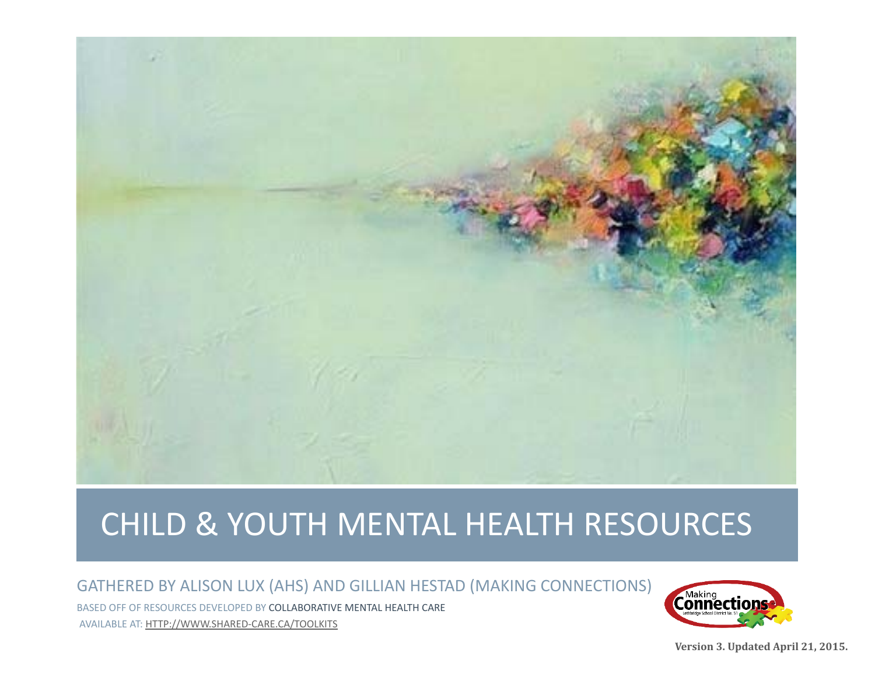

# CHILD & YOUTH MENTAL HEALTH RESOURCES

#### GATHERED BY ALISON LUX (AHS) AND GILLIAN HESTAD (MAKING CONNECTIONS)

BASED OFF OF RESOURCES DEVELOPED BY COLLABORATIVE MENTAL HEALTH CARE AVAILABLE AT: HTTP://WWW.SHARED‐CARE.CA/TOOLKITS



**Version 3. Updated April 21, 2015.**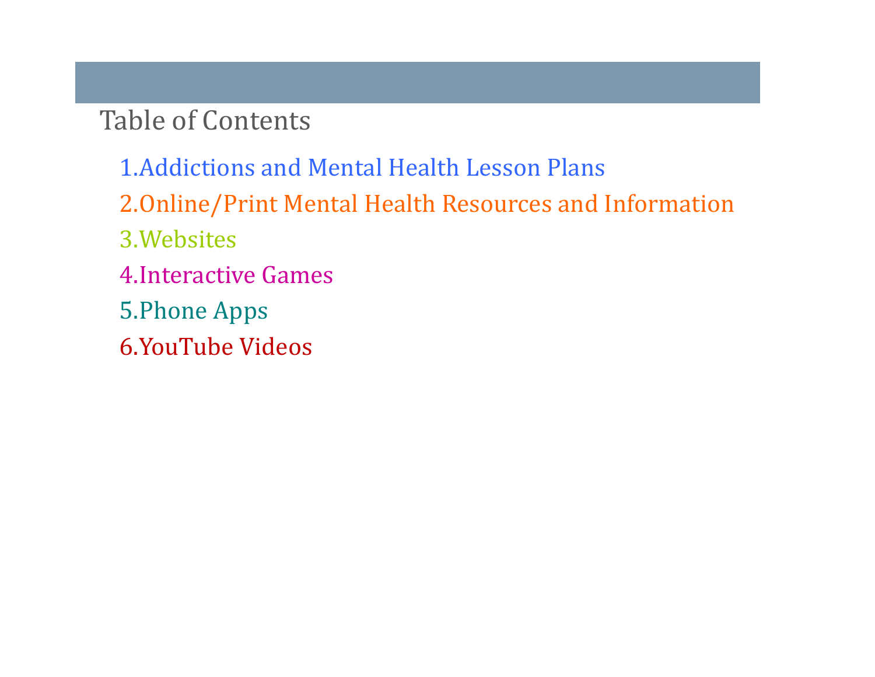Table of Contents

1.Addictions and Mental Health Lesson Plans 2.Online/Print Mental Health Resources and Information 3.Websites 4.Interactive Games 5. Phone Apps 6.YouTube Videos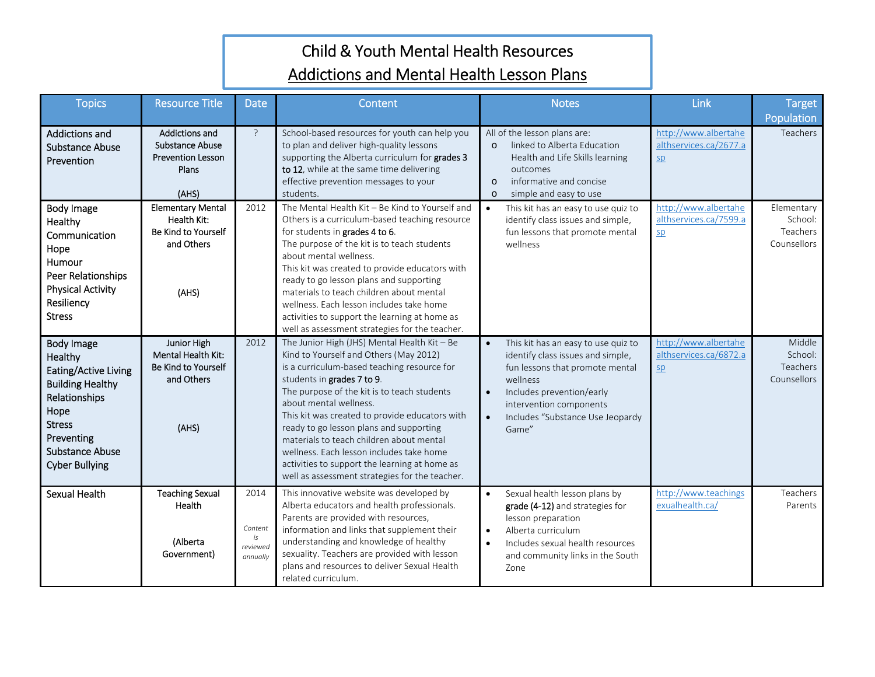## Child & Youth Mental Health Resources Addictions and Mental Health Lesson Plans

| <b>Topics</b>                                                                                                                                                                       | <b>Resource Title</b>                                                                  | Date                                          | Content                                                                                                                                                                                                                                                                                                                                                                                                                                                                                                                              | <b>Notes</b>                                                                                                                                                                                                                                           | Link                                                 | <b>Target</b><br>Population                      |
|-------------------------------------------------------------------------------------------------------------------------------------------------------------------------------------|----------------------------------------------------------------------------------------|-----------------------------------------------|--------------------------------------------------------------------------------------------------------------------------------------------------------------------------------------------------------------------------------------------------------------------------------------------------------------------------------------------------------------------------------------------------------------------------------------------------------------------------------------------------------------------------------------|--------------------------------------------------------------------------------------------------------------------------------------------------------------------------------------------------------------------------------------------------------|------------------------------------------------------|--------------------------------------------------|
| Addictions and<br><b>Substance Abuse</b><br>Prevention                                                                                                                              | Addictions and<br><b>Substance Abuse</b><br><b>Prevention Lesson</b><br>Plans<br>(AHS) | $\overline{?}$                                | School-based resources for youth can help you<br>to plan and deliver high-quality lessons<br>supporting the Alberta curriculum for grades 3<br>to 12, while at the same time delivering<br>effective prevention messages to your<br>students.                                                                                                                                                                                                                                                                                        | All of the lesson plans are:<br>linked to Alberta Education<br>$\Omega$<br>Health and Life Skills learning<br>outcomes<br>informative and concise<br>$\Omega$<br>simple and easy to use<br>$\Omega$                                                    | http://www.albertahe<br>althservices.ca/2677.a<br>5p | Teachers                                         |
| Body Image<br>Healthy<br>Communication<br>Hope<br>Humour<br>Peer Relationships<br><b>Physical Activity</b><br>Resiliency<br><b>Stress</b>                                           | <b>Elementary Mental</b><br>Health Kit:<br>Be Kind to Yourself<br>and Others<br>(AHS)  | 2012                                          | The Mental Health Kit - Be Kind to Yourself and<br>Others is a curriculum-based teaching resource<br>for students in grades 4 to 6.<br>The purpose of the kit is to teach students<br>about mental wellness.<br>This kit was created to provide educators with<br>ready to go lesson plans and supporting<br>materials to teach children about mental<br>wellness. Each lesson includes take home<br>activities to support the learning at home as<br>well as assessment strategies for the teacher.                                 | This kit has an easy to use quiz to<br>$\bullet$<br>identify class issues and simple,<br>fun lessons that promote mental<br>wellness                                                                                                                   | http://www.albertahe<br>althservices.ca/7599.a<br>sp | Elementary<br>School:<br>Teachers<br>Counsellors |
| Body Image<br>Healthy<br>Eating/Active Living<br><b>Building Healthy</b><br>Relationships<br>Hope<br><b>Stress</b><br>Preventing<br><b>Substance Abuse</b><br><b>Cyber Bullying</b> | Junior High<br><b>Mental Health Kit:</b><br>Be Kind to Yourself<br>and Others<br>(AHS) | 2012                                          | The Junior High (JHS) Mental Health Kit - Be<br>Kind to Yourself and Others (May 2012)<br>is a curriculum-based teaching resource for<br>students in grades 7 to 9.<br>The purpose of the kit is to teach students<br>about mental wellness.<br>This kit was created to provide educators with<br>ready to go lesson plans and supporting<br>materials to teach children about mental<br>wellness. Each lesson includes take home<br>activities to support the learning at home as<br>well as assessment strategies for the teacher. | This kit has an easy to use quiz to<br>$\bullet$<br>identify class issues and simple,<br>fun lessons that promote mental<br>wellness<br>Includes prevention/early<br>$\bullet$<br>intervention components<br>Includes "Substance Use Jeopardy<br>Game" | http://www.albertahe<br>althservices.ca/6872.a<br>SD | Middle<br>School:<br>Teachers<br>Counsellors     |
| Sexual Health                                                                                                                                                                       | <b>Teaching Sexual</b><br>Health<br>(Alberta<br>Government)                            | 2014<br>Content<br>is<br>reviewed<br>annually | This innovative website was developed by<br>Alberta educators and health professionals.<br>Parents are provided with resources,<br>information and links that supplement their<br>understanding and knowledge of healthy<br>sexuality. Teachers are provided with lesson<br>plans and resources to deliver Sexual Health<br>related curriculum.                                                                                                                                                                                      | Sexual health lesson plans by<br>$\bullet$<br>grade (4-12) and strategies for<br>lesson preparation<br>Alberta curriculum<br>$\bullet$<br>Includes sexual health resources<br>$\bullet$<br>and community links in the South<br>Zone                    | http://www.teachings<br>exualhealth.ca/              | Teachers<br>Parents                              |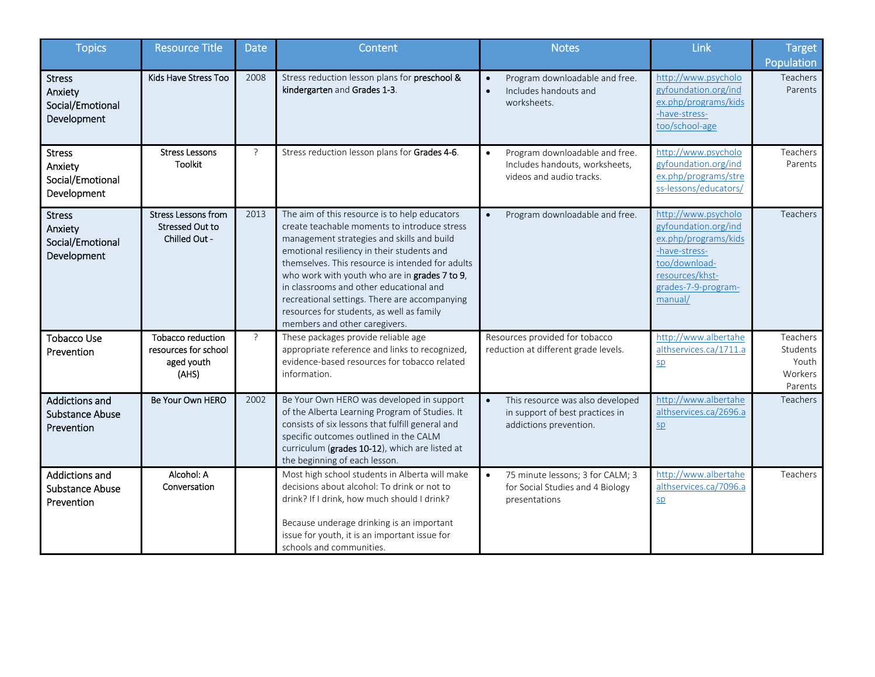| <b>Topics</b>                                                 | <b>Resource Title</b>                                            | <b>Date</b>   | Content                                                                                                                                                                                                                                                                                                                                                                                                                                                                  | <b>Notes</b>                                                                                              | Link                                                                                                                                                       | <b>Target</b><br>Population                         |
|---------------------------------------------------------------|------------------------------------------------------------------|---------------|--------------------------------------------------------------------------------------------------------------------------------------------------------------------------------------------------------------------------------------------------------------------------------------------------------------------------------------------------------------------------------------------------------------------------------------------------------------------------|-----------------------------------------------------------------------------------------------------------|------------------------------------------------------------------------------------------------------------------------------------------------------------|-----------------------------------------------------|
| <b>Stress</b><br>Anxiety<br>Social/Emotional<br>Development   | Kids Have Stress Too                                             | 2008          | Stress reduction lesson plans for preschool &<br>kindergarten and Grades 1-3.                                                                                                                                                                                                                                                                                                                                                                                            | Program downloadable and free.<br>Includes handouts and<br>$\bullet$<br>worksheets.                       | http://www.psycholo<br>gyfoundation.org/ind<br>ex.php/programs/kids<br>-have-stress-<br>too/school-age                                                     | Teachers<br>Parents                                 |
| <b>Stress</b><br>Anxiety<br>Social/Emotional<br>Development   | <b>Stress Lessons</b><br><b>Toolkit</b>                          | $\tilde{P}$   | Stress reduction lesson plans for Grades 4-6.                                                                                                                                                                                                                                                                                                                                                                                                                            | Program downloadable and free.<br>$\bullet$<br>Includes handouts, worksheets,<br>videos and audio tracks. | http://www.psycholo<br>gyfoundation.org/ind<br>ex.php/programs/stre<br>ss-lessons/educators/                                                               | Teachers<br>Parents                                 |
| <b>Stress</b><br>Anxiety<br>Social/Emotional<br>Development   | <b>Stress Lessons from</b><br>Stressed Out to<br>Chilled Out -   | 2013          | The aim of this resource is to help educators<br>create teachable moments to introduce stress<br>management strategies and skills and build<br>emotional resiliency in their students and<br>themselves. This resource is intended for adults<br>who work with youth who are in grades 7 to 9,<br>in classrooms and other educational and<br>recreational settings. There are accompanying<br>resources for students, as well as family<br>members and other caregivers. | Program downloadable and free.<br>$\bullet$                                                               | http://www.psycholo<br>gyfoundation.org/ind<br>ex.php/programs/kids<br>-have-stress-<br>too/download-<br>resources/khst-<br>grades-7-9-program-<br>manual/ | Teachers                                            |
| <b>Tobacco Use</b><br>Prevention                              | Tobacco reduction<br>resources for school<br>aged youth<br>(AHS) | $\mathcal{P}$ | These packages provide reliable age<br>appropriate reference and links to recognized,<br>evidence-based resources for tobacco related<br>information.                                                                                                                                                                                                                                                                                                                    | Resources provided for tobacco<br>reduction at different grade levels.                                    | http://www.albertahe<br>althservices.ca/1711.a<br>SD                                                                                                       | Teachers<br>Students<br>Youth<br>Workers<br>Parents |
| <b>Addictions and</b><br><b>Substance Abuse</b><br>Prevention | Be Your Own HERO                                                 | 2002          | Be Your Own HERO was developed in support<br>of the Alberta Learning Program of Studies. It<br>consists of six lessons that fulfill general and<br>specific outcomes outlined in the CALM<br>curriculum (grades 10-12), which are listed at<br>the beginning of each lesson.                                                                                                                                                                                             | This resource was also developed<br>in support of best practices in<br>addictions prevention.             | http://www.albertahe<br>althservices.ca/2696.a<br>5p                                                                                                       | Teachers                                            |
| Addictions and<br><b>Substance Abuse</b><br>Prevention        | Alcohol: A<br>Conversation                                       |               | Most high school students in Alberta will make<br>decisions about alcohol: To drink or not to<br>drink? If I drink, how much should I drink?<br>Because underage drinking is an important<br>issue for youth, it is an important issue for<br>schools and communities.                                                                                                                                                                                                   | 75 minute lessons; 3 for CALM; 3<br>for Social Studies and 4 Biology<br>presentations                     | http://www.albertahe<br>althservices.ca/7096.a<br>5p                                                                                                       | Teachers                                            |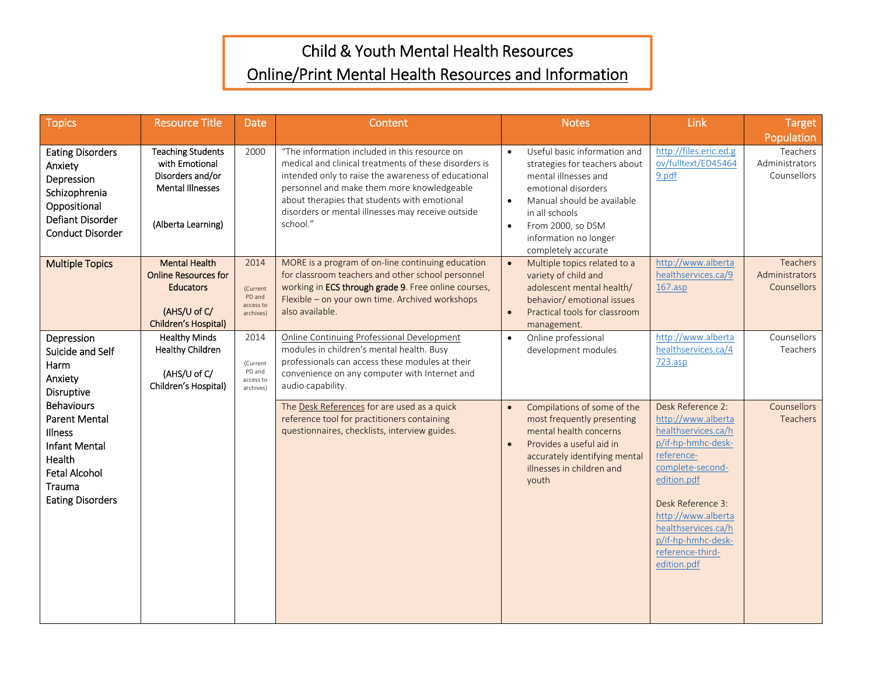# Child & Youth Mental Health Resources Online/Print Mental Health Resources and Information

| <b>Topics</b>                                                                                                                                                                                                                               | <b>Resource Title</b>                                                                                           | <b>Date</b>                                          | Content                                                                                                                                                                                                                                                                                                                      |                                     | <b>Notes</b>                                                                                                                                                                                                                      | Link                                                                                                                                                                                                                                                             | <b>Target</b><br>Population                      |
|---------------------------------------------------------------------------------------------------------------------------------------------------------------------------------------------------------------------------------------------|-----------------------------------------------------------------------------------------------------------------|------------------------------------------------------|------------------------------------------------------------------------------------------------------------------------------------------------------------------------------------------------------------------------------------------------------------------------------------------------------------------------------|-------------------------------------|-----------------------------------------------------------------------------------------------------------------------------------------------------------------------------------------------------------------------------------|------------------------------------------------------------------------------------------------------------------------------------------------------------------------------------------------------------------------------------------------------------------|--------------------------------------------------|
| <b>Eating Disorders</b><br>Anxiety<br>Depression<br>Schizophrenia<br>Oppositional<br>Defiant Disorder<br><b>Conduct Disorder</b>                                                                                                            | <b>Teaching Students</b><br>with Emotional<br>Disorders and/or<br><b>Mental Illnesses</b><br>(Alberta Learning) | 2000                                                 | "The information included in this resource on<br>medical and clinical treatments of these disorders is<br>intended only to raise the awareness of educational<br>personnel and make them more knowledgeable<br>about therapies that students with emotional<br>disorders or mental illnesses may receive outside<br>school." | $\bullet$<br>$\bullet$<br>$\bullet$ | Useful basic information and<br>strategies for teachers about<br>mental illnesses and<br>emotional disorders<br>Manual should be available<br>in all schools<br>From 2000, so DSM<br>information no longer<br>completely accurate | http://files.eric.ed.g<br>ov/fulltext/ED45464<br>9.pdf                                                                                                                                                                                                           | Teachers<br>Administrators<br>Counsellors        |
| <b>Multiple Topics</b>                                                                                                                                                                                                                      | <b>Mental Health</b><br><b>Online Resources for</b><br><b>Educators</b><br>(AHS/U of C/<br>Children's Hospital) | 2014<br>(Current<br>PD and<br>access to<br>archives) | MORE is a program of on-line continuing education<br>for classroom teachers and other school personnel<br>working in ECS through grade 9. Free online courses,<br>Flexible - on your own time. Archived workshops<br>also available.                                                                                         | $\bullet$<br>$\bullet$              | Multiple topics related to a<br>variety of child and<br>adolescent mental health/<br>behavior/ emotional issues<br>Practical tools for classroom<br>management.                                                                   | http://www.alberta<br>healthservices.ca/9<br>$167.\n$                                                                                                                                                                                                            | <b>Teachers</b><br>Administrators<br>Counsellors |
| Depression<br>Suicide and Self<br>Harm<br>Anxiety<br>Disruptive<br><b>Behaviours</b><br><b>Parent Mental</b><br><b>Illness</b><br><b>Infant Mental</b><br><b>Health</b><br><b>Fetal Alcohol</b><br><b>Trauma</b><br><b>Eating Disorders</b> | <b>Healthy Minds</b><br><b>Healthy Children</b><br>(AHS/U of C/<br>Children's Hospital)                         | 2014<br>(Current<br>PD and<br>access to<br>archives) | Online Continuing Professional Development<br>modules in children's mental health. Busy<br>professionals can access these modules at their<br>convenience on any computer with Internet and<br>audio capability.                                                                                                             | $\bullet$                           | Online professional<br>development modules                                                                                                                                                                                        | http://www.alberta<br>healthservices.ca/4<br>723.asp                                                                                                                                                                                                             | Counsellors<br>Teachers                          |
|                                                                                                                                                                                                                                             |                                                                                                                 |                                                      | The Desk References for are used as a quick<br>reference tool for practitioners containing<br>questionnaires, checklists, interview guides.                                                                                                                                                                                  | $\bullet$<br>$\bullet$              | Compilations of some of the<br>most frequently presenting<br>mental health concerns<br>Provides a useful aid in<br>accurately identifying mental<br>illnesses in children and<br>youth                                            | Desk Reference 2:<br>http://www.alberta<br>healthservices.ca/h<br>p/if-hp-hmhc-desk-<br>reference-<br>complete-second-<br>edition.pdf<br>Desk Reference 3:<br>http://www.alberta<br>healthservices.ca/h<br>p/if-hp-hmhc-desk-<br>reference-third-<br>edition.pdf | Counsellors<br><b>Teachers</b>                   |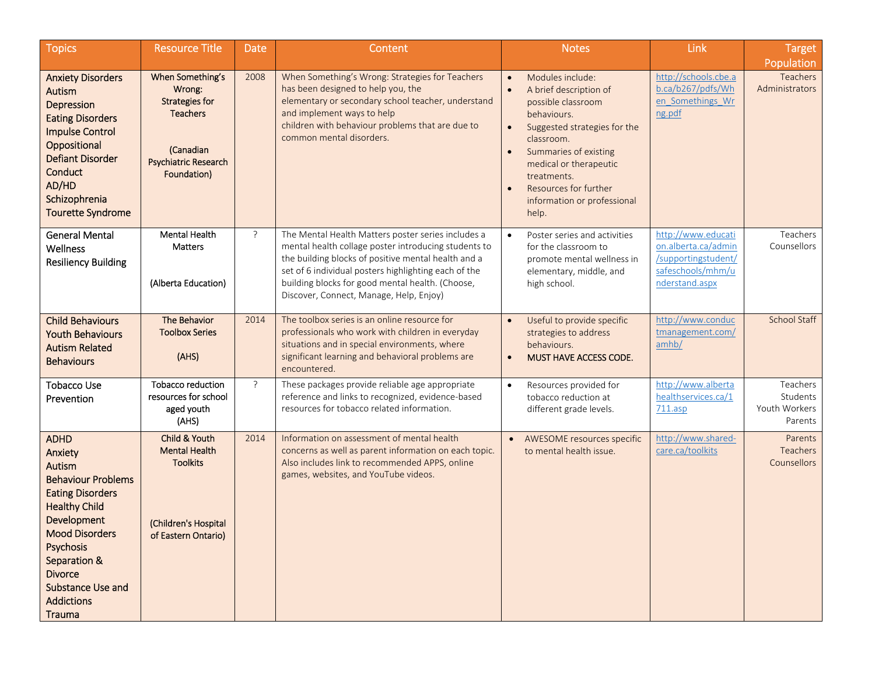| Topics                                                                                                                                                                                                                                                                           | <b>Resource Title</b>                                                                                                             | <b>Date</b> | Content                                                                                                                                                                                                                                                                                                                  | <b>Notes</b>                                                                                                                                                                                                                                                                  | Link                                                                                                    | <b>Target</b>                                    |
|----------------------------------------------------------------------------------------------------------------------------------------------------------------------------------------------------------------------------------------------------------------------------------|-----------------------------------------------------------------------------------------------------------------------------------|-------------|--------------------------------------------------------------------------------------------------------------------------------------------------------------------------------------------------------------------------------------------------------------------------------------------------------------------------|-------------------------------------------------------------------------------------------------------------------------------------------------------------------------------------------------------------------------------------------------------------------------------|---------------------------------------------------------------------------------------------------------|--------------------------------------------------|
| <b>Anxiety Disorders</b><br>Autism<br>Depression<br><b>Eating Disorders</b><br><b>Impulse Control</b><br>Oppositional<br><b>Defiant Disorder</b><br>Conduct<br>AD/HD<br>Schizophrenia<br><b>Tourette Syndrome</b>                                                                | When Something's<br>Wrong:<br><b>Strategies for</b><br><b>Teachers</b><br>(Canadian<br><b>Psychiatric Research</b><br>Foundation) | 2008        | When Something's Wrong: Strategies for Teachers<br>has been designed to help you, the<br>elementary or secondary school teacher, understand<br>and implement ways to help<br>children with behaviour problems that are due to<br>common mental disorders.                                                                | Modules include:<br>A brief description of<br>possible classroom<br>behaviours.<br>Suggested strategies for the<br>$\bullet$<br>classroom.<br>Summaries of existing<br>medical or therapeutic<br>treatments.<br>Resources for further<br>information or professional<br>help. | http://schools.cbe.a<br>b.ca/b267/pdfs/Wh<br>en Somethings Wr<br>ng.pdf                                 | Population<br>Teachers<br>Administrators         |
| <b>General Mental</b><br>Wellness<br><b>Resiliency Building</b>                                                                                                                                                                                                                  | <b>Mental Health</b><br>Matters<br>(Alberta Education)                                                                            | ?           | The Mental Health Matters poster series includes a<br>mental health collage poster introducing students to<br>the building blocks of positive mental health and a<br>set of 6 individual posters highlighting each of the<br>building blocks for good mental health. (Choose,<br>Discover, Connect, Manage, Help, Enjoy) | Poster series and activities<br>$\bullet$<br>for the classroom to<br>promote mental wellness in<br>elementary, middle, and<br>high school.                                                                                                                                    | http://www.educati<br>on.alberta.ca/admin<br>/supportingstudent/<br>safeschools/mhm/u<br>nderstand.aspx | Teachers<br>Counsellors                          |
| <b>Child Behaviours</b><br><b>Youth Behaviours</b><br><b>Autism Related</b><br><b>Behaviours</b>                                                                                                                                                                                 | The Behavior<br><b>Toolbox Series</b><br>(AHS)                                                                                    | 2014        | The toolbox series is an online resource for<br>professionals who work with children in everyday<br>situations and in special environments, where<br>significant learning and behavioral problems are<br>encountered.                                                                                                    | Useful to provide specific<br>strategies to address<br>behaviours.<br>MUST HAVE ACCESS CODE.<br>$\bullet$                                                                                                                                                                     | http://www.conduc<br>tmanagement.com/<br>amb/                                                           | <b>School Staff</b>                              |
| <b>Tobacco Use</b><br>Prevention                                                                                                                                                                                                                                                 | <b>Tobacco reduction</b><br>resources for school<br>aged youth<br>(AHS)                                                           | ?           | These packages provide reliable age appropriate<br>reference and links to recognized, evidence-based<br>resources for tobacco related information.                                                                                                                                                                       | Resources provided for<br>$\bullet$<br>tobacco reduction at<br>different grade levels.                                                                                                                                                                                        | http://www.alberta<br>healthservices.ca/1<br>$711$ .asp                                                 | Teachers<br>Students<br>Youth Workers<br>Parents |
| <b>ADHD</b><br>Anxiety<br>Autism<br><b>Behaviour Problems</b><br><b>Eating Disorders</b><br><b>Healthy Child</b><br>Development<br><b>Mood Disorders</b><br><b>Psychosis</b><br>Separation &<br><b>Divorce</b><br><b>Substance Use and</b><br><b>Addictions</b><br><b>Trauma</b> | Child & Youth<br><b>Mental Health</b><br><b>Toolkits</b><br>(Children's Hospital<br>of Eastern Ontario)                           | 2014        | Information on assessment of mental health<br>concerns as well as parent information on each topic.<br>Also includes link to recommended APPS, online<br>games, websites, and YouTube videos.                                                                                                                            | AWESOME resources specific<br>$\bullet$<br>to mental health issue.                                                                                                                                                                                                            | http://www.shared-<br>care.ca/toolkits                                                                  | Parents<br><b>Teachers</b><br>Counsellors        |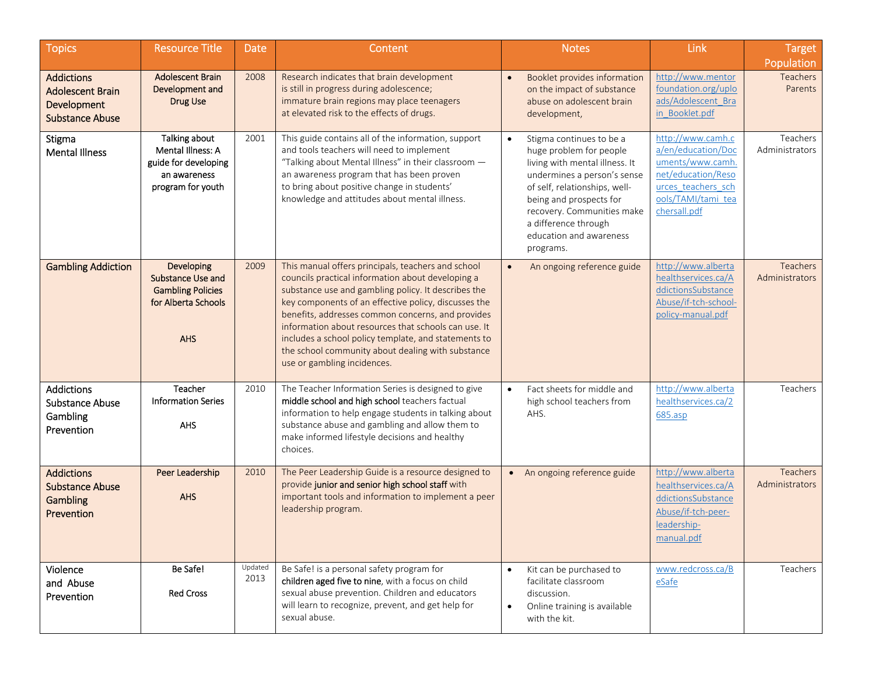| <b>Topics</b>                                                                         | <b>Resource Title</b>                                                                                   | <b>Date</b>     | Content                                                                                                                                                                                                                                                                                                                                                                                                                                                                         |                        | <b>Notes</b>                                                                                                                                                                                                                                                                   | Link                                                                                                                                          | <b>Target</b><br>Population              |
|---------------------------------------------------------------------------------------|---------------------------------------------------------------------------------------------------------|-----------------|---------------------------------------------------------------------------------------------------------------------------------------------------------------------------------------------------------------------------------------------------------------------------------------------------------------------------------------------------------------------------------------------------------------------------------------------------------------------------------|------------------------|--------------------------------------------------------------------------------------------------------------------------------------------------------------------------------------------------------------------------------------------------------------------------------|-----------------------------------------------------------------------------------------------------------------------------------------------|------------------------------------------|
| <b>Addictions</b><br><b>Adolescent Brain</b><br>Development<br><b>Substance Abuse</b> | <b>Adolescent Brain</b><br>Development and<br>Drug Use                                                  | 2008            | Research indicates that brain development<br>is still in progress during adolescence;<br>immature brain regions may place teenagers<br>at elevated risk to the effects of drugs.                                                                                                                                                                                                                                                                                                |                        | Booklet provides information<br>on the impact of substance<br>abuse on adolescent brain<br>development,                                                                                                                                                                        | http://www.mentor<br>foundation.org/uplo<br>ads/Adolescent Bra<br>in Booklet.pdf                                                              | <b>Teachers</b><br>Parents               |
| Stigma<br><b>Mental Illness</b>                                                       | Talking about<br>Mental Illness: A<br>guide for developing<br>an awareness<br>program for youth         | 2001            | This guide contains all of the information, support<br>and tools teachers will need to implement<br>"Talking about Mental Illness" in their classroom -<br>an awareness program that has been proven<br>to bring about positive change in students'<br>knowledge and attitudes about mental illness.                                                                                                                                                                            | $\bullet$              | Stigma continues to be a<br>huge problem for people<br>living with mental illness. It<br>undermines a person's sense<br>of self, relationships, well-<br>being and prospects for<br>recovery. Communities make<br>a difference through<br>education and awareness<br>programs. | http://www.camh.c<br>a/en/education/Doc<br>uments/www.camh.<br>net/education/Reso<br>urces teachers sch<br>ools/TAMI/tami tea<br>chersall.pdf | Teachers<br>Administrators               |
| <b>Gambling Addiction</b>                                                             | Developing<br><b>Substance Use and</b><br><b>Gambling Policies</b><br>for Alberta Schools<br><b>AHS</b> | 2009            | This manual offers principals, teachers and school<br>councils practical information about developing a<br>substance use and gambling policy. It describes the<br>key components of an effective policy, discusses the<br>benefits, addresses common concerns, and provides<br>information about resources that schools can use. It<br>includes a school policy template, and statements to<br>the school community about dealing with substance<br>use or gambling incidences. | $\bullet$              | An ongoing reference guide                                                                                                                                                                                                                                                     | http://www.alberta<br>healthservices.ca/A<br>ddictionsSubstance<br>Abuse/if-tch-school-<br>policy-manual.pdf                                  | <b>Teachers</b><br>Administrators        |
| <b>Addictions</b><br><b>Substance Abuse</b><br>Gambling<br>Prevention                 | Teacher<br><b>Information Series</b><br><b>AHS</b>                                                      | 2010            | The Teacher Information Series is designed to give<br>middle school and high school teachers factual<br>information to help engage students in talking about<br>substance abuse and gambling and allow them to<br>make informed lifestyle decisions and healthy<br>choices.                                                                                                                                                                                                     |                        | Fact sheets for middle and<br>high school teachers from<br>AHS.                                                                                                                                                                                                                | http://www.alberta<br>healthservices.ca/2<br>685.asp                                                                                          | Teachers                                 |
| <b>Addictions</b><br><b>Substance Abuse</b><br><b>Gambling</b><br>Prevention          | Peer Leadership<br><b>AHS</b>                                                                           | 2010            | The Peer Leadership Guide is a resource designed to<br>provide junior and senior high school staff with<br>important tools and information to implement a peer<br>leadership program.                                                                                                                                                                                                                                                                                           |                        | • An ongoing reference guide                                                                                                                                                                                                                                                   | http://www.alberta<br>healthservices.ca/A<br>ddictionsSubstance<br>Abuse/if-tch-peer-<br>leadership-<br>manual.pdf                            | <b>Teachers</b><br><b>Administrators</b> |
| Violence<br>and Abuse<br>Prevention                                                   | Be Safe!<br>Red Cross                                                                                   | Updated<br>2013 | Be Safe! is a personal safety program for<br>children aged five to nine, with a focus on child<br>sexual abuse prevention. Children and educators<br>will learn to recognize, prevent, and get help for<br>sexual abuse.                                                                                                                                                                                                                                                        | $\bullet$<br>$\bullet$ | Kit can be purchased to<br>facilitate classroom<br>discussion.<br>Online training is available<br>with the kit.                                                                                                                                                                | www.redcross.ca/B<br>eSafe                                                                                                                    | Teachers                                 |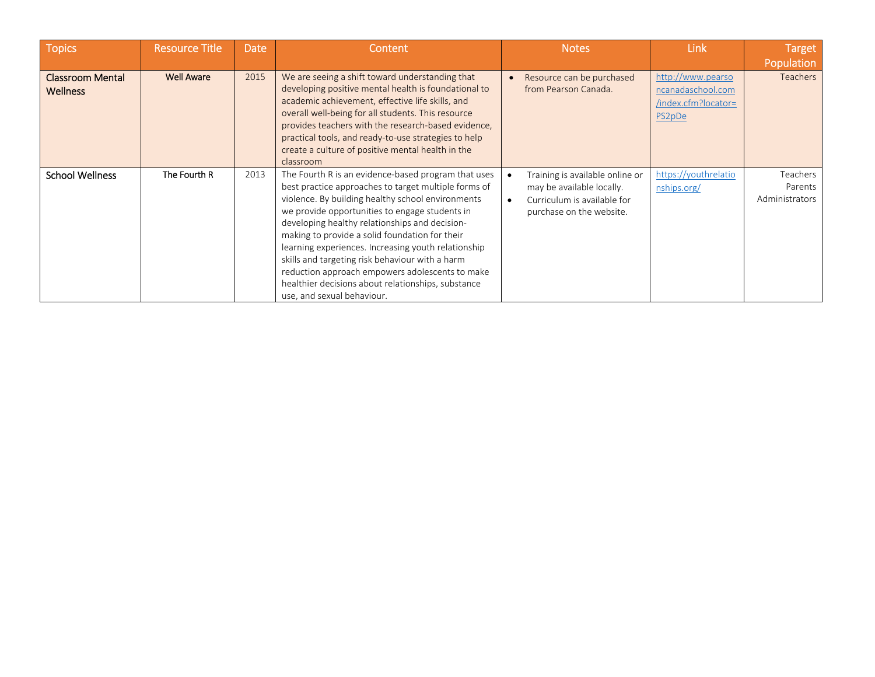| <b>Topics</b>                              | <b>Resource Title</b> | <b>Date</b> | Content                                                                                                                                                                                                                                                                                                                                                                                                                                                                                                                                                                 | <b>Notes</b>                                                                                                            | Link                                                                    | <b>Target</b>                         |
|--------------------------------------------|-----------------------|-------------|-------------------------------------------------------------------------------------------------------------------------------------------------------------------------------------------------------------------------------------------------------------------------------------------------------------------------------------------------------------------------------------------------------------------------------------------------------------------------------------------------------------------------------------------------------------------------|-------------------------------------------------------------------------------------------------------------------------|-------------------------------------------------------------------------|---------------------------------------|
|                                            |                       |             |                                                                                                                                                                                                                                                                                                                                                                                                                                                                                                                                                                         |                                                                                                                         |                                                                         | Population                            |
| <b>Classroom Mental</b><br><b>Wellness</b> | <b>Well Aware</b>     | 2015        | We are seeing a shift toward understanding that<br>developing positive mental health is foundational to<br>academic achievement, effective life skills, and<br>overall well-being for all students. This resource<br>provides teachers with the research-based evidence,<br>practical tools, and ready-to-use strategies to help<br>create a culture of positive mental health in the<br>classroom                                                                                                                                                                      | Resource can be purchased<br>from Pearson Canada.                                                                       | http://www.pearso<br>ncanadaschool.com<br>/index.cfm?locator=<br>PS2pDe | <b>Teachers</b>                       |
| <b>School Wellness</b>                     | The Fourth R          | 2013        | The Fourth R is an evidence-based program that uses<br>best practice approaches to target multiple forms of<br>violence. By building healthy school environments<br>we provide opportunities to engage students in<br>developing healthy relationships and decision-<br>making to provide a solid foundation for their<br>learning experiences. Increasing youth relationship<br>skills and targeting risk behaviour with a harm<br>reduction approach empowers adolescents to make<br>healthier decisions about relationships, substance<br>use, and sexual behaviour. | Training is available online or<br>may be available locally.<br>Curriculum is available for<br>purchase on the website. | https://youthrelatio<br>nships.org/                                     | Teachers<br>Parents<br>Administrators |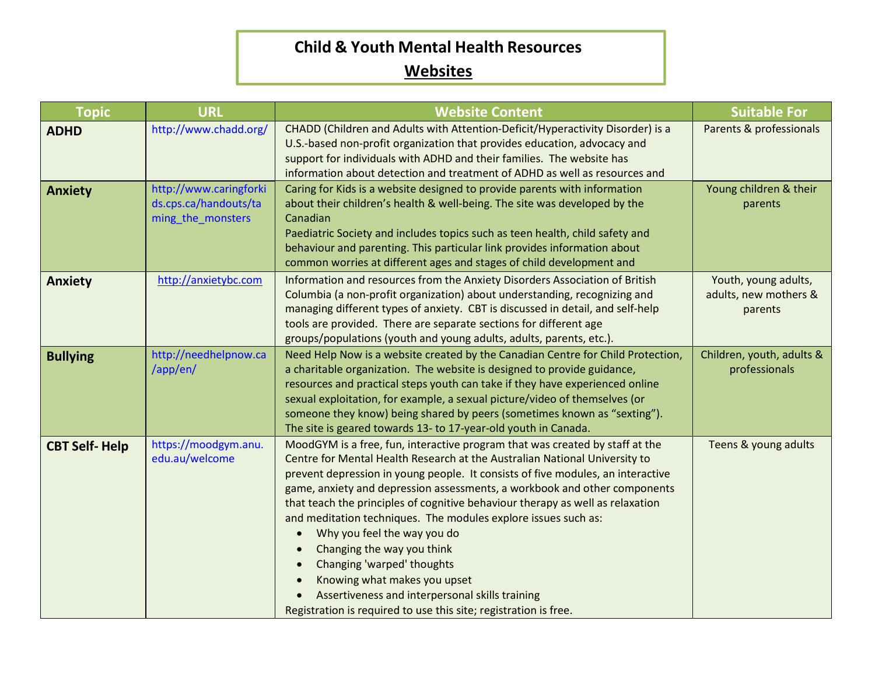## **Child & Youth Mental Health Resources Websites**

| <b>Topic</b>         | <b>URL</b>                                                           | <b>Website Content</b>                                                                                                                                                                                                                                                                                                                                                                                                                                                                                                                                                                                                                                                                                                                                                  | <b>Suitable For</b>                                      |
|----------------------|----------------------------------------------------------------------|-------------------------------------------------------------------------------------------------------------------------------------------------------------------------------------------------------------------------------------------------------------------------------------------------------------------------------------------------------------------------------------------------------------------------------------------------------------------------------------------------------------------------------------------------------------------------------------------------------------------------------------------------------------------------------------------------------------------------------------------------------------------------|----------------------------------------------------------|
| <b>ADHD</b>          | http://www.chadd.org/                                                | CHADD (Children and Adults with Attention-Deficit/Hyperactivity Disorder) is a<br>U.S.-based non-profit organization that provides education, advocacy and<br>support for individuals with ADHD and their families. The website has<br>information about detection and treatment of ADHD as well as resources and                                                                                                                                                                                                                                                                                                                                                                                                                                                       | Parents & professionals                                  |
| <b>Anxiety</b>       | http://www.caringforki<br>ds.cps.ca/handouts/ta<br>ming_the_monsters | Caring for Kids is a website designed to provide parents with information<br>about their children's health & well-being. The site was developed by the<br>Canadian<br>Paediatric Society and includes topics such as teen health, child safety and<br>behaviour and parenting. This particular link provides information about<br>common worries at different ages and stages of child development and                                                                                                                                                                                                                                                                                                                                                                  | Young children & their<br>parents                        |
| <b>Anxiety</b>       | http://anxietybc.com                                                 | Information and resources from the Anxiety Disorders Association of British<br>Columbia (a non-profit organization) about understanding, recognizing and<br>managing different types of anxiety. CBT is discussed in detail, and self-help<br>tools are provided. There are separate sections for different age<br>groups/populations (youth and young adults, adults, parents, etc.).                                                                                                                                                                                                                                                                                                                                                                                  | Youth, young adults,<br>adults, new mothers &<br>parents |
| <b>Bullying</b>      | http://needhelpnow.ca<br>/app/en/                                    | Need Help Now is a website created by the Canadian Centre for Child Protection,<br>a charitable organization. The website is designed to provide guidance,<br>resources and practical steps youth can take if they have experienced online<br>sexual exploitation, for example, a sexual picture/video of themselves (or<br>someone they know) being shared by peers (sometimes known as "sexting").<br>The site is geared towards 13- to 17-year-old youth in Canada.                                                                                                                                                                                                                                                                                                  | Children, youth, adults &<br>professionals               |
| <b>CBT Self-Help</b> | https://moodgym.anu.<br>edu.au/welcome                               | MoodGYM is a free, fun, interactive program that was created by staff at the<br>Centre for Mental Health Research at the Australian National University to<br>prevent depression in young people. It consists of five modules, an interactive<br>game, anxiety and depression assessments, a workbook and other components<br>that teach the principles of cognitive behaviour therapy as well as relaxation<br>and meditation techniques. The modules explore issues such as:<br>Why you feel the way you do<br>$\bullet$<br>Changing the way you think<br>Changing 'warped' thoughts<br>$\bullet$<br>Knowing what makes you upset<br>$\bullet$<br>Assertiveness and interpersonal skills training<br>Registration is required to use this site; registration is free. | Teens & young adults                                     |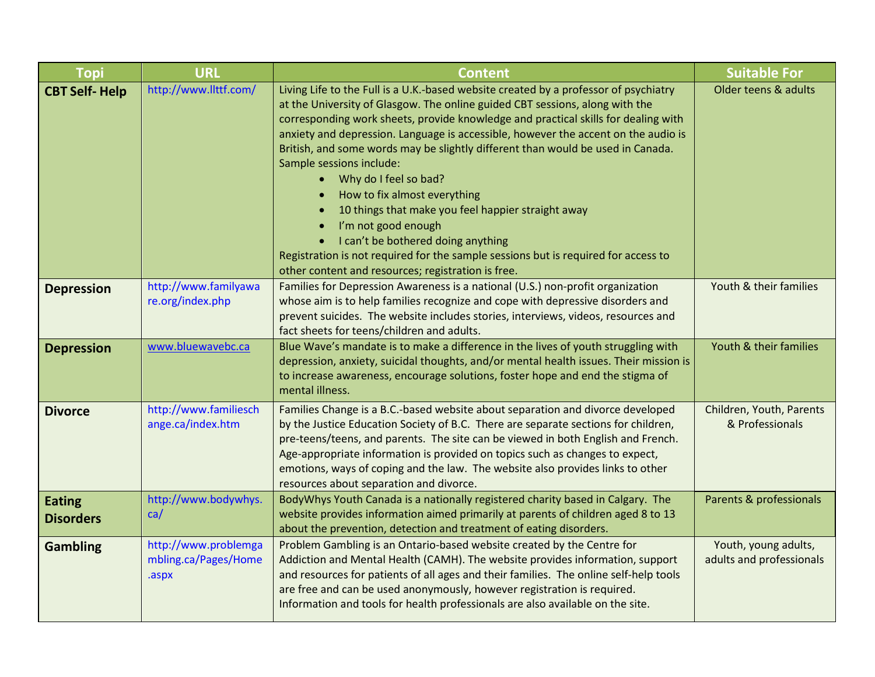| <b>Topi</b>                       | <b>URL</b>                                            | <b>Content</b>                                                                                                                                                                                                                                                                                                                                                                                                                                                                                                                                                                                                                                                                                                                                                                                                    | <b>Suitable For</b>                              |
|-----------------------------------|-------------------------------------------------------|-------------------------------------------------------------------------------------------------------------------------------------------------------------------------------------------------------------------------------------------------------------------------------------------------------------------------------------------------------------------------------------------------------------------------------------------------------------------------------------------------------------------------------------------------------------------------------------------------------------------------------------------------------------------------------------------------------------------------------------------------------------------------------------------------------------------|--------------------------------------------------|
| <b>CBT Self-Help</b>              | http://www.llttf.com/                                 | Living Life to the Full is a U.K.-based website created by a professor of psychiatry<br>at the University of Glasgow. The online guided CBT sessions, along with the<br>corresponding work sheets, provide knowledge and practical skills for dealing with<br>anxiety and depression. Language is accessible, however the accent on the audio is<br>British, and some words may be slightly different than would be used in Canada.<br>Sample sessions include:<br>Why do I feel so bad?<br>$\bullet$<br>How to fix almost everything<br>$\bullet$<br>10 things that make you feel happier straight away<br>I'm not good enough<br>I can't be bothered doing anything<br>Registration is not required for the sample sessions but is required for access to<br>other content and resources; registration is free. | Older teens & adults                             |
| <b>Depression</b>                 | http://www.familyawa<br>re.org/index.php              | Families for Depression Awareness is a national (U.S.) non-profit organization<br>whose aim is to help families recognize and cope with depressive disorders and<br>prevent suicides. The website includes stories, interviews, videos, resources and<br>fact sheets for teens/children and adults.                                                                                                                                                                                                                                                                                                                                                                                                                                                                                                               | Youth & their families                           |
| <b>Depression</b>                 | www.bluewavebc.ca                                     | Blue Wave's mandate is to make a difference in the lives of youth struggling with<br>depression, anxiety, suicidal thoughts, and/or mental health issues. Their mission is<br>to increase awareness, encourage solutions, foster hope and end the stigma of<br>mental illness.                                                                                                                                                                                                                                                                                                                                                                                                                                                                                                                                    | Youth & their families                           |
| <b>Divorce</b>                    | http://www.familiesch<br>ange.ca/index.htm            | Families Change is a B.C.-based website about separation and divorce developed<br>by the Justice Education Society of B.C. There are separate sections for children,<br>pre-teens/teens, and parents. The site can be viewed in both English and French.<br>Age-appropriate information is provided on topics such as changes to expect,<br>emotions, ways of coping and the law. The website also provides links to other<br>resources about separation and divorce.                                                                                                                                                                                                                                                                                                                                             | Children, Youth, Parents<br>& Professionals      |
| <b>Eating</b><br><b>Disorders</b> | http://www.bodywhys.<br>ca/                           | BodyWhys Youth Canada is a nationally registered charity based in Calgary. The<br>website provides information aimed primarily at parents of children aged 8 to 13<br>about the prevention, detection and treatment of eating disorders.                                                                                                                                                                                                                                                                                                                                                                                                                                                                                                                                                                          | Parents & professionals                          |
| <b>Gambling</b>                   | http://www.problemga<br>mbling.ca/Pages/Home<br>.aspx | Problem Gambling is an Ontario-based website created by the Centre for<br>Addiction and Mental Health (CAMH). The website provides information, support<br>and resources for patients of all ages and their families. The online self-help tools<br>are free and can be used anonymously, however registration is required.<br>Information and tools for health professionals are also available on the site.                                                                                                                                                                                                                                                                                                                                                                                                     | Youth, young adults,<br>adults and professionals |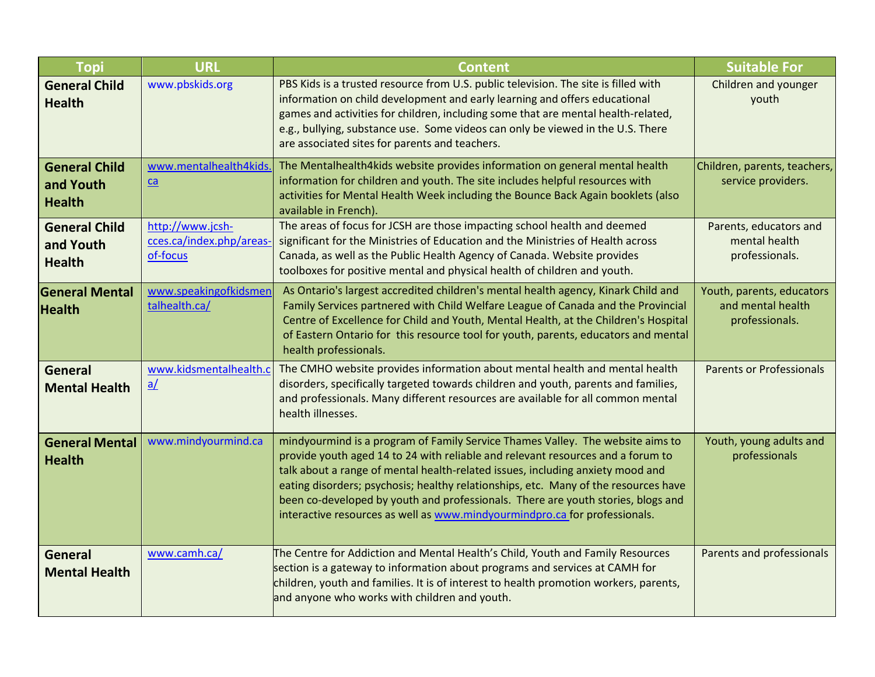| <b>Topi</b>                                        | <b>URL</b>                                               | <b>Content</b>                                                                                                                                                                                                                                                                                                                                                                                                                                                                                               | <b>Suitable For</b>                                              |
|----------------------------------------------------|----------------------------------------------------------|--------------------------------------------------------------------------------------------------------------------------------------------------------------------------------------------------------------------------------------------------------------------------------------------------------------------------------------------------------------------------------------------------------------------------------------------------------------------------------------------------------------|------------------------------------------------------------------|
| <b>General Child</b><br><b>Health</b>              | www.pbskids.org                                          | PBS Kids is a trusted resource from U.S. public television. The site is filled with<br>information on child development and early learning and offers educational<br>games and activities for children, including some that are mental health-related,<br>e.g., bullying, substance use. Some videos can only be viewed in the U.S. There<br>are associated sites for parents and teachers.                                                                                                                  | Children and younger<br>youth                                    |
| <b>General Child</b><br>and Youth<br><b>Health</b> | www.mentalhealth4kids.<br>$ca$                           | The Mentalhealth4kids website provides information on general mental health<br>information for children and youth. The site includes helpful resources with<br>activities for Mental Health Week including the Bounce Back Again booklets (also<br>available in French)                                                                                                                                                                                                                                      | Children, parents, teachers,<br>service providers.               |
| <b>General Child</b><br>and Youth<br><b>Health</b> | http://www.jcsh-<br>cces.ca/index.php/areas-<br>of-focus | The areas of focus for JCSH are those impacting school health and deemed<br>significant for the Ministries of Education and the Ministries of Health across<br>Canada, as well as the Public Health Agency of Canada. Website provides<br>toolboxes for positive mental and physical health of children and youth.                                                                                                                                                                                           | Parents, educators and<br>mental health<br>professionals.        |
| <b>General Mental</b><br><b>Health</b>             | www.speakingofkidsmen<br>talhealth.ca/                   | As Ontario's largest accredited children's mental health agency, Kinark Child and<br>Family Services partnered with Child Welfare League of Canada and the Provincial<br>Centre of Excellence for Child and Youth, Mental Health, at the Children's Hospital<br>of Eastern Ontario for this resource tool for youth, parents, educators and mental<br>health professionals.                                                                                                                                  | Youth, parents, educators<br>and mental health<br>professionals. |
| <b>General</b><br><b>Mental Health</b>             | www.kidsmentalhealth.c<br>$\underline{a}$                | The CMHO website provides information about mental health and mental health<br>disorders, specifically targeted towards children and youth, parents and families,<br>and professionals. Many different resources are available for all common mental<br>health illnesses.                                                                                                                                                                                                                                    | <b>Parents or Professionals</b>                                  |
| <b>General Mental</b><br><b>Health</b>             | www.mindyourmind.ca                                      | mindyourmind is a program of Family Service Thames Valley. The website aims to<br>provide youth aged 14 to 24 with reliable and relevant resources and a forum to<br>talk about a range of mental health-related issues, including anxiety mood and<br>eating disorders; psychosis; healthy relationships, etc. Many of the resources have<br>been co-developed by youth and professionals. There are youth stories, blogs and<br>interactive resources as well as www.mindyourmindpro.ca for professionals. | Youth, young adults and<br>professionals                         |
| General<br><b>Mental Health</b>                    | www.camh.ca/                                             | The Centre for Addiction and Mental Health's Child, Youth and Family Resources<br>section is a gateway to information about programs and services at CAMH for<br>children, youth and families. It is of interest to health promotion workers, parents,<br>and anyone who works with children and youth.                                                                                                                                                                                                      | Parents and professionals                                        |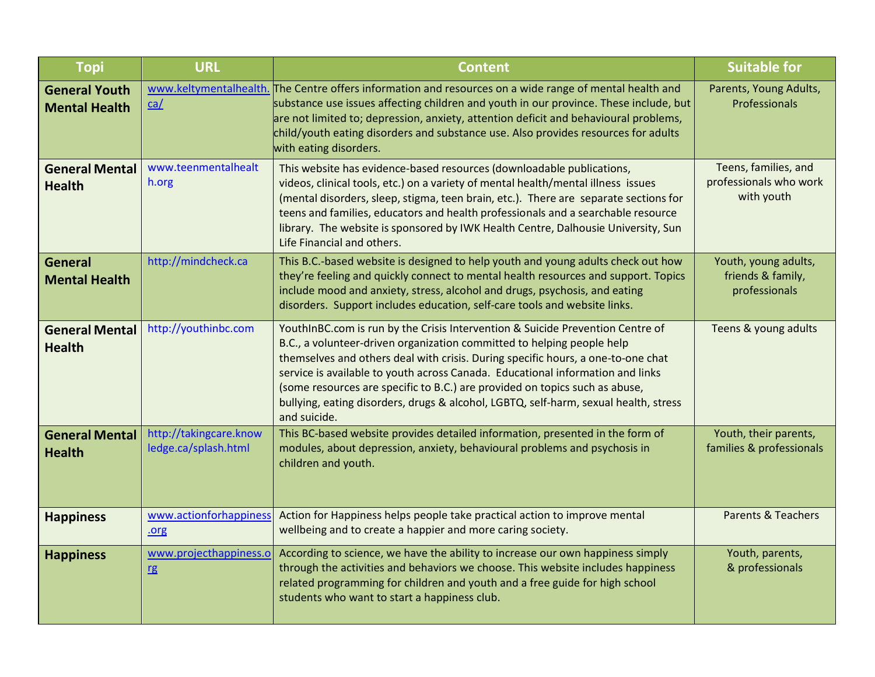| <b>Topi</b>                                  | <b>URL</b>                                     | <b>Content</b>                                                                                                                                                                                                                                                                                                                                                                                                                                                                                                        | <b>Suitable for</b>                                          |
|----------------------------------------------|------------------------------------------------|-----------------------------------------------------------------------------------------------------------------------------------------------------------------------------------------------------------------------------------------------------------------------------------------------------------------------------------------------------------------------------------------------------------------------------------------------------------------------------------------------------------------------|--------------------------------------------------------------|
| <b>General Youth</b><br><b>Mental Health</b> | ca/                                            | www.keltymentalhealth. The Centre offers information and resources on a wide range of mental health and<br>substance use issues affecting children and youth in our province. These include, but<br>are not limited to; depression, anxiety, attention deficit and behavioural problems,<br>child/youth eating disorders and substance use. Also provides resources for adults<br>with eating disorders.                                                                                                              | Parents, Young Adults,<br>Professionals                      |
| <b>General Mental</b><br><b>Health</b>       | www.teenmentalhealt<br>h.org                   | This website has evidence-based resources (downloadable publications,<br>videos, clinical tools, etc.) on a variety of mental health/mental illness issues<br>(mental disorders, sleep, stigma, teen brain, etc.). There are separate sections for<br>teens and families, educators and health professionals and a searchable resource<br>library. The website is sponsored by IWK Health Centre, Dalhousie University, Sun<br>Life Financial and others.                                                             | Teens, families, and<br>professionals who work<br>with youth |
| <b>General</b><br><b>Mental Health</b>       | http://mindcheck.ca                            | This B.C.-based website is designed to help youth and young adults check out how<br>they're feeling and quickly connect to mental health resources and support. Topics<br>include mood and anxiety, stress, alcohol and drugs, psychosis, and eating<br>disorders. Support includes education, self-care tools and website links.                                                                                                                                                                                     | Youth, young adults,<br>friends & family,<br>professionals   |
| <b>General Mental</b><br><b>Health</b>       | http://youthinbc.com                           | YouthInBC.com is run by the Crisis Intervention & Suicide Prevention Centre of<br>B.C., a volunteer-driven organization committed to helping people help<br>themselves and others deal with crisis. During specific hours, a one-to-one chat<br>service is available to youth across Canada. Educational information and links<br>(some resources are specific to B.C.) are provided on topics such as abuse,<br>bullying, eating disorders, drugs & alcohol, LGBTQ, self-harm, sexual health, stress<br>and suicide. | Teens & young adults                                         |
| <b>General Mental</b><br><b>Health</b>       | http://takingcare.know<br>ledge.ca/splash.html | This BC-based website provides detailed information, presented in the form of<br>modules, about depression, anxiety, behavioural problems and psychosis in<br>children and youth.                                                                                                                                                                                                                                                                                                                                     | Youth, their parents,<br>families & professionals            |
| <b>Happiness</b>                             | www.actionforhappiness<br>.org                 | Action for Happiness helps people take practical action to improve mental<br>wellbeing and to create a happier and more caring society.                                                                                                                                                                                                                                                                                                                                                                               | <b>Parents &amp; Teachers</b>                                |
| <b>Happiness</b>                             | www.projecthappiness.o<br>rg                   | According to science, we have the ability to increase our own happiness simply<br>through the activities and behaviors we choose. This website includes happiness<br>related programming for children and youth and a free guide for high school<br>students who want to start a happiness club.                                                                                                                                                                                                                      | Youth, parents,<br>& professionals                           |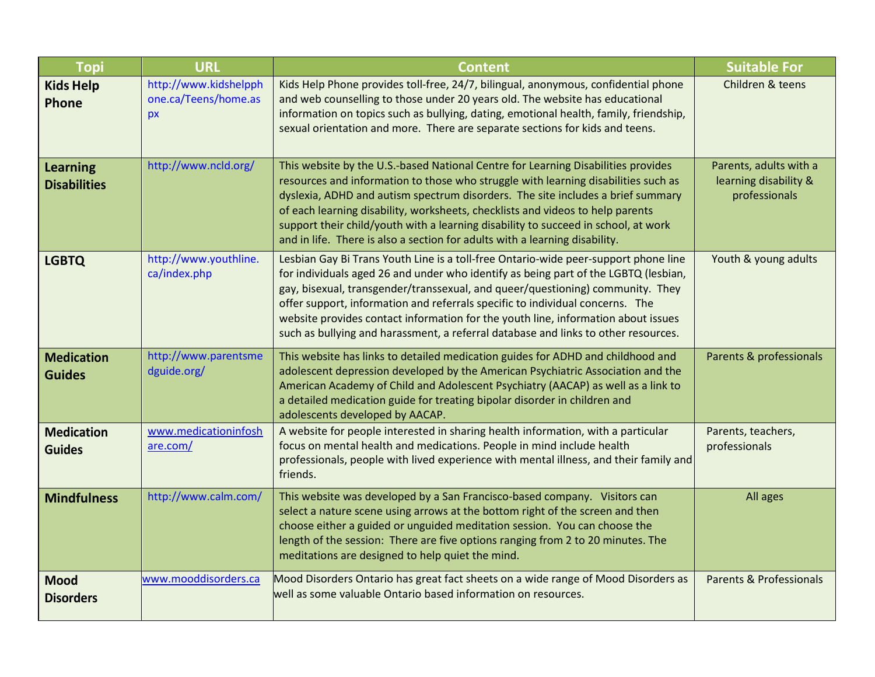| <b>Topi</b>                            | <b>URL</b>                                          | <b>Content</b>                                                                                                                                                                                                                                                                                                                                                                                                                                                                                                           | <b>Suitable For</b>                                              |
|----------------------------------------|-----------------------------------------------------|--------------------------------------------------------------------------------------------------------------------------------------------------------------------------------------------------------------------------------------------------------------------------------------------------------------------------------------------------------------------------------------------------------------------------------------------------------------------------------------------------------------------------|------------------------------------------------------------------|
| <b>Kids Help</b><br><b>Phone</b>       | http://www.kidshelpph<br>one.ca/Teens/home.as<br>px | Kids Help Phone provides toll-free, 24/7, bilingual, anonymous, confidential phone<br>and web counselling to those under 20 years old. The website has educational<br>information on topics such as bullying, dating, emotional health, family, friendship,<br>sexual orientation and more. There are separate sections for kids and teens.                                                                                                                                                                              | Children & teens                                                 |
| <b>Learning</b><br><b>Disabilities</b> | http://www.ncld.org/                                | This website by the U.S.-based National Centre for Learning Disabilities provides<br>resources and information to those who struggle with learning disabilities such as<br>dyslexia, ADHD and autism spectrum disorders. The site includes a brief summary<br>of each learning disability, worksheets, checklists and videos to help parents<br>support their child/youth with a learning disability to succeed in school, at work<br>and in life. There is also a section for adults with a learning disability.        | Parents, adults with a<br>learning disability &<br>professionals |
| <b>LGBTQ</b>                           | http://www.youthline.<br>ca/index.php               | Lesbian Gay Bi Trans Youth Line is a toll-free Ontario-wide peer-support phone line<br>for individuals aged 26 and under who identify as being part of the LGBTQ (lesbian,<br>gay, bisexual, transgender/transsexual, and queer/questioning) community. They<br>offer support, information and referrals specific to individual concerns. The<br>website provides contact information for the youth line, information about issues<br>such as bullying and harassment, a referral database and links to other resources. | Youth & young adults                                             |
| <b>Medication</b><br><b>Guides</b>     | http://www.parentsme<br>dguide.org/                 | This website has links to detailed medication guides for ADHD and childhood and<br>adolescent depression developed by the American Psychiatric Association and the<br>American Academy of Child and Adolescent Psychiatry (AACAP) as well as a link to<br>a detailed medication guide for treating bipolar disorder in children and<br>adolescents developed by AACAP.                                                                                                                                                   | Parents & professionals                                          |
| <b>Medication</b><br><b>Guides</b>     | www.medicationinfosh<br>are.com/                    | A website for people interested in sharing health information, with a particular<br>focus on mental health and medications. People in mind include health<br>professionals, people with lived experience with mental illness, and their family and<br>friends.                                                                                                                                                                                                                                                           | Parents, teachers,<br>professionals                              |
| <b>Mindfulness</b>                     | http://www.calm.com/                                | This website was developed by a San Francisco-based company. Visitors can<br>select a nature scene using arrows at the bottom right of the screen and then<br>choose either a guided or unguided meditation session. You can choose the<br>length of the session: There are five options ranging from 2 to 20 minutes. The<br>meditations are designed to help quiet the mind.                                                                                                                                           | All ages                                                         |
| <b>Mood</b><br><b>Disorders</b>        | www.mooddisorders.ca                                | Mood Disorders Ontario has great fact sheets on a wide range of Mood Disorders as<br>well as some valuable Ontario based information on resources.                                                                                                                                                                                                                                                                                                                                                                       | <b>Parents &amp; Professionals</b>                               |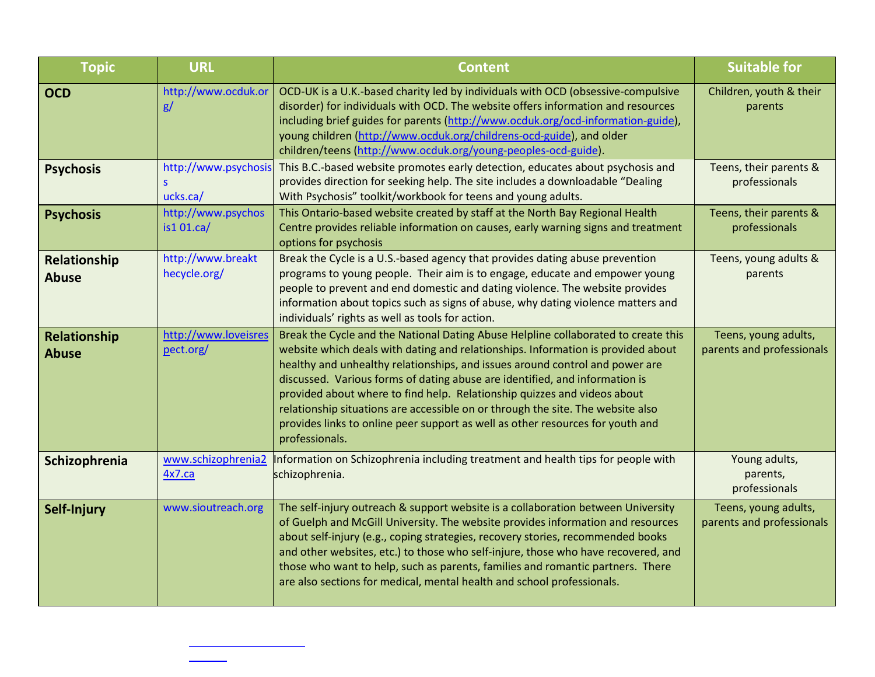| <b>Topic</b>                 | <b>URL</b>                            | <b>Content</b>                                                                                                                                                                                                                                                                                                                                                                                                                                                                                                                                                                                           | <b>Suitable for</b>                               |
|------------------------------|---------------------------------------|----------------------------------------------------------------------------------------------------------------------------------------------------------------------------------------------------------------------------------------------------------------------------------------------------------------------------------------------------------------------------------------------------------------------------------------------------------------------------------------------------------------------------------------------------------------------------------------------------------|---------------------------------------------------|
| <b>OCD</b>                   | http://www.ocduk.or<br>g/             | OCD-UK is a U.K.-based charity led by individuals with OCD (obsessive-compulsive<br>disorder) for individuals with OCD. The website offers information and resources<br>including brief guides for parents (http://www.ocduk.org/ocd-information-guide),<br>young children (http://www.ocduk.org/childrens-ocd-guide), and older<br>children/teens (http://www.ocduk.org/young-peoples-ocd-guide).                                                                                                                                                                                                       | Children, youth & their<br>parents                |
| <b>Psychosis</b>             | http://www.psychosis<br>S<br>ucks.ca/ | This B.C.-based website promotes early detection, educates about psychosis and<br>provides direction for seeking help. The site includes a downloadable "Dealing<br>With Psychosis" toolkit/workbook for teens and young adults.                                                                                                                                                                                                                                                                                                                                                                         | Teens, their parents &<br>professionals           |
| <b>Psychosis</b>             | http://www.psychos<br>is1 01.ca/      | This Ontario-based website created by staff at the North Bay Regional Health<br>Centre provides reliable information on causes, early warning signs and treatment<br>options for psychosis                                                                                                                                                                                                                                                                                                                                                                                                               | Teens, their parents &<br>professionals           |
| Relationship<br><b>Abuse</b> | http://www.breakt<br>hecycle.org/     | Break the Cycle is a U.S.-based agency that provides dating abuse prevention<br>programs to young people. Their aim is to engage, educate and empower young<br>people to prevent and end domestic and dating violence. The website provides<br>information about topics such as signs of abuse, why dating violence matters and<br>individuals' rights as well as tools for action.                                                                                                                                                                                                                      | Teens, young adults &<br>parents                  |
| Relationship<br><b>Abuse</b> | http://www.loveisres<br>pect.org/     | Break the Cycle and the National Dating Abuse Helpline collaborated to create this<br>website which deals with dating and relationships. Information is provided about<br>healthy and unhealthy relationships, and issues around control and power are<br>discussed. Various forms of dating abuse are identified, and information is<br>provided about where to find help. Relationship quizzes and videos about<br>relationship situations are accessible on or through the site. The website also<br>provides links to online peer support as well as other resources for youth and<br>professionals. | Teens, young adults,<br>parents and professionals |
| Schizophrenia                | www.schizophrenia2<br>4x7.ca          | Information on Schizophrenia including treatment and health tips for people with<br>schizophrenia.                                                                                                                                                                                                                                                                                                                                                                                                                                                                                                       | Young adults,<br>parents,<br>professionals        |
| Self-Injury                  | www.sioutreach.org                    | The self-injury outreach & support website is a collaboration between University<br>of Guelph and McGill University. The website provides information and resources<br>about self-injury (e.g., coping strategies, recovery stories, recommended books<br>and other websites, etc.) to those who self-injure, those who have recovered, and<br>those who want to help, such as parents, families and romantic partners. There<br>are also sections for medical, mental health and school professionals.                                                                                                  | Teens, young adults,<br>parents and professionals |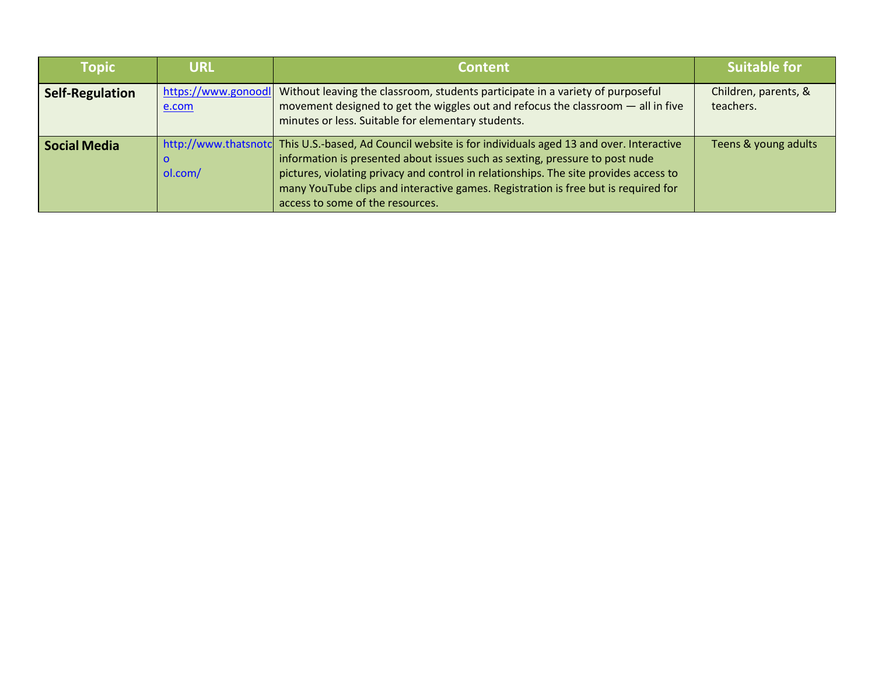| <b>Topic</b>           | <b>URL</b>                   | <b>Content</b>                                                                                                                                                                                                                                                                                                                                                                                               | <b>Suitable for</b>               |
|------------------------|------------------------------|--------------------------------------------------------------------------------------------------------------------------------------------------------------------------------------------------------------------------------------------------------------------------------------------------------------------------------------------------------------------------------------------------------------|-----------------------------------|
| <b>Self-Regulation</b> | https://www.gonoodl<br>e.com | Without leaving the classroom, students participate in a variety of purposeful<br>movement designed to get the wiggles out and refocus the classroom $-$ all in five<br>minutes or less. Suitable for elementary students.                                                                                                                                                                                   | Children, parents, &<br>teachers. |
| <b>Social Media</b>    | 0<br>ol.com/                 | http://www.thatsnotc This U.S.-based, Ad Council website is for individuals aged 13 and over. Interactive<br>information is presented about issues such as sexting, pressure to post nude<br>pictures, violating privacy and control in relationships. The site provides access to<br>many YouTube clips and interactive games. Registration is free but is required for<br>access to some of the resources. | Teens & young adults              |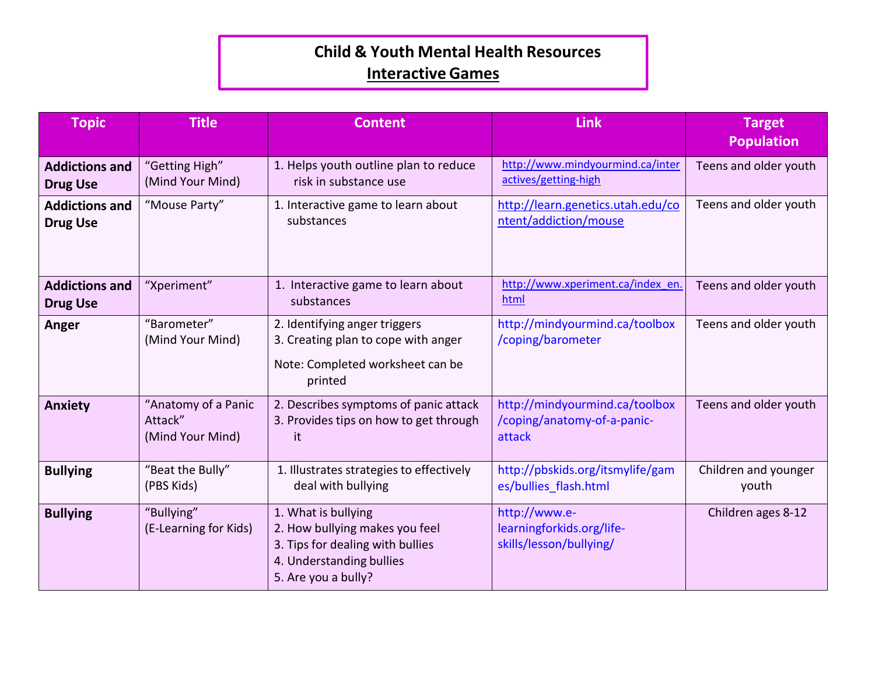### **Child & Youth Mental Health Resources Interactive Games**

| <b>Topic</b>                             | <b>Title</b>                                       | <b>Content</b>                                                                                                                               | Link                                                                    | <b>Target</b><br><b>Population</b> |
|------------------------------------------|----------------------------------------------------|----------------------------------------------------------------------------------------------------------------------------------------------|-------------------------------------------------------------------------|------------------------------------|
| <b>Addictions and</b><br><b>Drug Use</b> | "Getting High"<br>(Mind Your Mind)                 | 1. Helps youth outline plan to reduce<br>risk in substance use                                                                               | http://www.mindyourmind.ca/inter<br>actives/getting-high                | Teens and older youth              |
| <b>Addictions and</b><br><b>Drug Use</b> | "Mouse Party"                                      | 1. Interactive game to learn about<br>substances                                                                                             | http://learn.genetics.utah.edu/co<br>ntent/addiction/mouse              | Teens and older youth              |
| <b>Addictions and</b><br><b>Drug Use</b> | "Xperiment"                                        | 1. Interactive game to learn about<br>substances                                                                                             | http://www.xperiment.ca/index_en.<br>html                               | Teens and older youth              |
| Anger                                    | "Barometer"<br>(Mind Your Mind)                    | 2. Identifying anger triggers<br>3. Creating plan to cope with anger<br>Note: Completed worksheet can be<br>printed                          | http://mindyourmind.ca/toolbox<br>/coping/barometer                     | Teens and older youth              |
| <b>Anxiety</b>                           | "Anatomy of a Panic<br>Attack"<br>(Mind Your Mind) | 2. Describes symptoms of panic attack<br>3. Provides tips on how to get through<br>it.                                                       | http://mindyourmind.ca/toolbox<br>/coping/anatomy-of-a-panic-<br>attack | Teens and older youth              |
| <b>Bullying</b>                          | "Beat the Bully"<br>(PBS Kids)                     | 1. Illustrates strategies to effectively<br>deal with bullying                                                                               | http://pbskids.org/itsmylife/gam<br>es/bullies_flash.html               | Children and younger<br>youth      |
| <b>Bullying</b>                          | "Bullying"<br>(E-Learning for Kids)                | 1. What is bullying<br>2. How bullying makes you feel<br>3. Tips for dealing with bullies<br>4. Understanding bullies<br>5. Are you a bully? | http://www.e-<br>learningforkids.org/life-<br>skills/lesson/bullying/   | Children ages 8-12                 |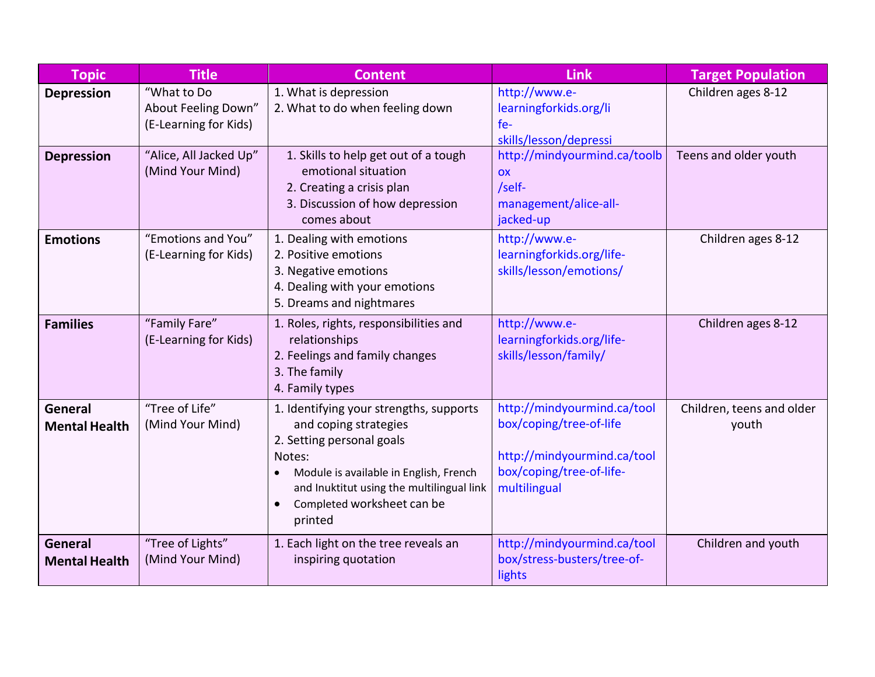| <b>Topic</b>                           | <b>Title</b>                                                | <b>Content</b>                                                                                                                                                                                                                                       | <b>Link</b>                                                                                                                       | <b>Target Population</b>           |
|----------------------------------------|-------------------------------------------------------------|------------------------------------------------------------------------------------------------------------------------------------------------------------------------------------------------------------------------------------------------------|-----------------------------------------------------------------------------------------------------------------------------------|------------------------------------|
| <b>Depression</b>                      | "What to Do<br>About Feeling Down"<br>(E-Learning for Kids) | 1. What is depression<br>2. What to do when feeling down                                                                                                                                                                                             | http://www.e-<br>learningforkids.org/li<br>$fe-$<br>skills/lesson/depressi                                                        | Children ages 8-12                 |
| <b>Depression</b>                      | "Alice, All Jacked Up"<br>(Mind Your Mind)                  | 1. Skills to help get out of a tough<br>emotional situation<br>2. Creating a crisis plan<br>3. Discussion of how depression<br>comes about                                                                                                           | http://mindyourmind.ca/toolb<br><b>OX</b><br>/self-<br>management/alice-all-<br>jacked-up                                         | Teens and older youth              |
| <b>Emotions</b>                        | "Emotions and You"<br>(E-Learning for Kids)                 | 1. Dealing with emotions<br>2. Positive emotions<br>3. Negative emotions<br>4. Dealing with your emotions<br>5. Dreams and nightmares                                                                                                                | http://www.e-<br>learningforkids.org/life-<br>skills/lesson/emotions/                                                             | Children ages 8-12                 |
| <b>Families</b>                        | "Family Fare"<br>(E-Learning for Kids)                      | 1. Roles, rights, responsibilities and<br>relationships<br>2. Feelings and family changes<br>3. The family<br>4. Family types                                                                                                                        | http://www.e-<br>learningforkids.org/life-<br>skills/lesson/family/                                                               | Children ages 8-12                 |
| <b>General</b><br><b>Mental Health</b> | "Tree of Life"<br>(Mind Your Mind)                          | 1. Identifying your strengths, supports<br>and coping strategies<br>2. Setting personal goals<br>Notes:<br>Module is available in English, French<br>and Inuktitut using the multilingual link<br>Completed worksheet can be<br>$\bullet$<br>printed | http://mindyourmind.ca/tool<br>box/coping/tree-of-life<br>http://mindyourmind.ca/tool<br>box/coping/tree-of-life-<br>multilingual | Children, teens and older<br>youth |
| General<br><b>Mental Health</b>        | "Tree of Lights"<br>(Mind Your Mind)                        | 1. Each light on the tree reveals an<br>inspiring quotation                                                                                                                                                                                          | http://mindyourmind.ca/tool<br>box/stress-busters/tree-of-<br>lights                                                              | Children and youth                 |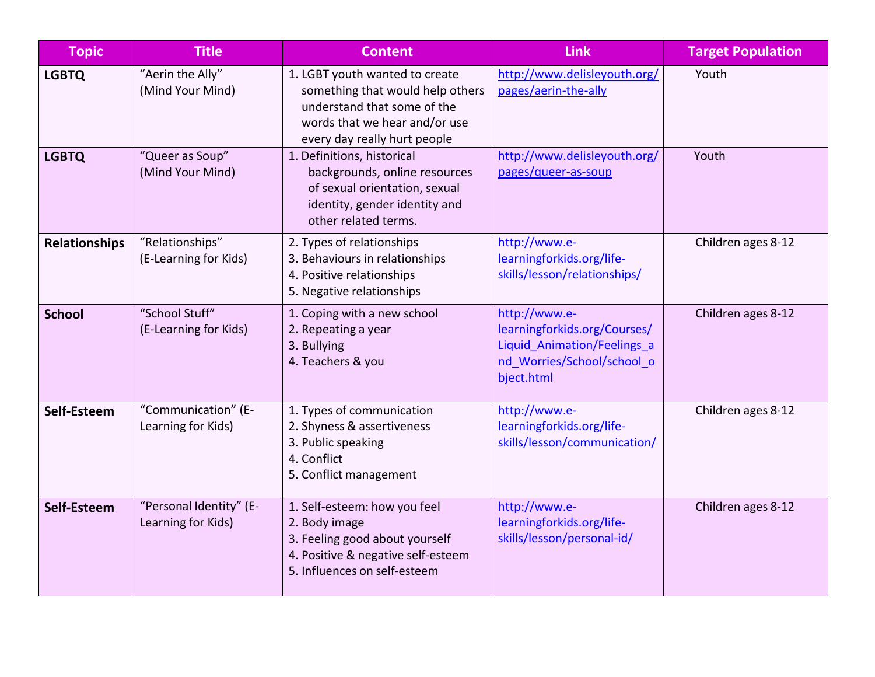| <b>Topic</b>         | <b>Title</b>                                  | <b>Content</b>                                                                                                                                                     | <b>Link</b>                                                                                                              | <b>Target Population</b> |
|----------------------|-----------------------------------------------|--------------------------------------------------------------------------------------------------------------------------------------------------------------------|--------------------------------------------------------------------------------------------------------------------------|--------------------------|
| <b>LGBTQ</b>         | "Aerin the Ally"<br>(Mind Your Mind)          | 1. LGBT youth wanted to create<br>something that would help others<br>understand that some of the<br>words that we hear and/or use<br>every day really hurt people | http://www.delisleyouth.org/<br>pages/aerin-the-ally                                                                     | Youth                    |
| <b>LGBTQ</b>         | "Queer as Soup"<br>(Mind Your Mind)           | 1. Definitions, historical<br>backgrounds, online resources<br>of sexual orientation, sexual<br>identity, gender identity and<br>other related terms.              | http://www.delisleyouth.org/<br>pages/queer-as-soup                                                                      | Youth                    |
| <b>Relationships</b> | "Relationships"<br>(E-Learning for Kids)      | 2. Types of relationships<br>3. Behaviours in relationships<br>4. Positive relationships<br>5. Negative relationships                                              | http://www.e-<br>learningforkids.org/life-<br>skills/lesson/relationships/                                               | Children ages 8-12       |
| <b>School</b>        | "School Stuff"<br>(E-Learning for Kids)       | 1. Coping with a new school<br>2. Repeating a year<br>3. Bullying<br>4. Teachers & you                                                                             | http://www.e-<br>learningforkids.org/Courses/<br>Liquid Animation/Feelings a<br>nd_Worries/School/school_o<br>bject.html | Children ages 8-12       |
| Self-Esteem          | "Communication" (E-<br>Learning for Kids)     | 1. Types of communication<br>2. Shyness & assertiveness<br>3. Public speaking<br>4. Conflict<br>5. Conflict management                                             | http://www.e-<br>learningforkids.org/life-<br>skills/lesson/communication/                                               | Children ages 8-12       |
| Self-Esteem          | "Personal Identity" (E-<br>Learning for Kids) | 1. Self-esteem: how you feel<br>2. Body image<br>3. Feeling good about yourself<br>4. Positive & negative self-esteem<br>5. Influences on self-esteem              | http://www.e-<br>learningforkids.org/life-<br>skills/lesson/personal-id/                                                 | Children ages 8-12       |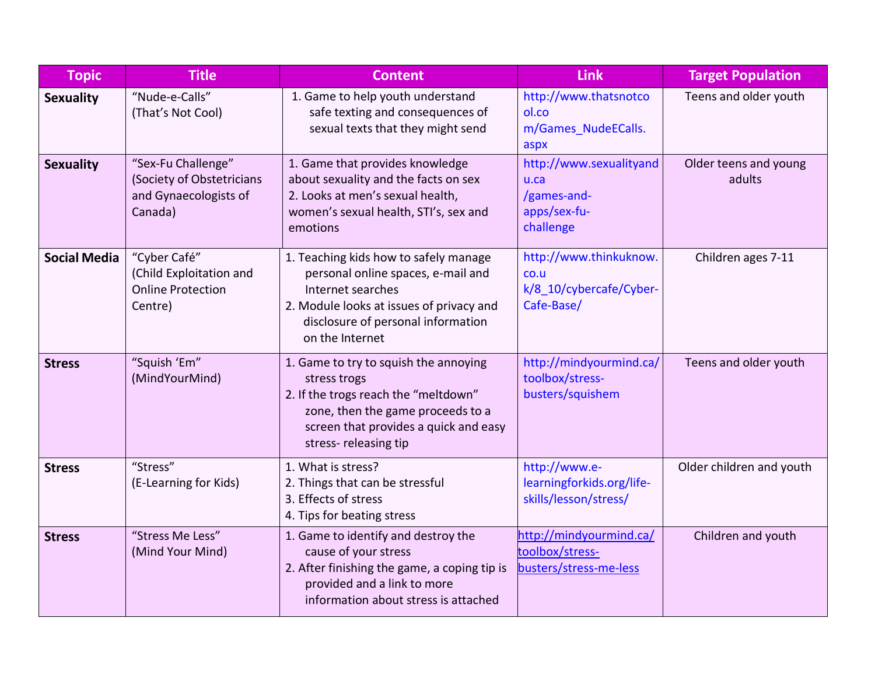| <b>Topic</b>        | <b>Title</b>                                                                        | <b>Content</b>                                                                                                                                                                                        | <b>Link</b>                                                                 | <b>Target Population</b>        |
|---------------------|-------------------------------------------------------------------------------------|-------------------------------------------------------------------------------------------------------------------------------------------------------------------------------------------------------|-----------------------------------------------------------------------------|---------------------------------|
| <b>Sexuality</b>    | "Nude-e-Calls"<br>(That's Not Cool)                                                 | 1. Game to help youth understand<br>safe texting and consequences of<br>sexual texts that they might send                                                                                             | http://www.thatsnotco<br>ol.co<br>m/Games NudeECalls.<br>aspx               | Teens and older youth           |
| <b>Sexuality</b>    | "Sex-Fu Challenge"<br>(Society of Obstetricians<br>and Gynaecologists of<br>Canada) | 1. Game that provides knowledge<br>about sexuality and the facts on sex<br>2. Looks at men's sexual health,<br>women's sexual health, STI's, sex and<br>emotions                                      | http://www.sexualityand<br>u.ca<br>/games-and-<br>apps/sex-fu-<br>challenge | Older teens and young<br>adults |
| <b>Social Media</b> | "Cyber Café"<br>(Child Exploitation and<br><b>Online Protection</b><br>Centre)      | 1. Teaching kids how to safely manage<br>personal online spaces, e-mail and<br>Internet searches<br>2. Module looks at issues of privacy and<br>disclosure of personal information<br>on the Internet | http://www.thinkuknow.<br>CO.U<br>k/8 10/cybercafe/Cyber-<br>Cafe-Base/     | Children ages 7-11              |
| <b>Stress</b>       | "Squish 'Em"<br>(MindYourMind)                                                      | 1. Game to try to squish the annoying<br>stress trogs<br>2. If the trogs reach the "meltdown"<br>zone, then the game proceeds to a<br>screen that provides a quick and easy<br>stress-releasing tip   | http://mindyourmind.ca/<br>toolbox/stress-<br>busters/squishem              | Teens and older youth           |
| <b>Stress</b>       | "Stress"<br>(E-Learning for Kids)                                                   | 1. What is stress?<br>2. Things that can be stressful<br>3. Effects of stress<br>4. Tips for beating stress                                                                                           | http://www.e-<br>learningforkids.org/life-<br>skills/lesson/stress/         | Older children and youth        |
| <b>Stress</b>       | "Stress Me Less"<br>(Mind Your Mind)                                                | 1. Game to identify and destroy the<br>cause of your stress<br>2. After finishing the game, a coping tip is<br>provided and a link to more<br>information about stress is attached                    | http://mindyourmind.ca/<br>toolbox/stress-<br>busters/stress-me-less        | Children and youth              |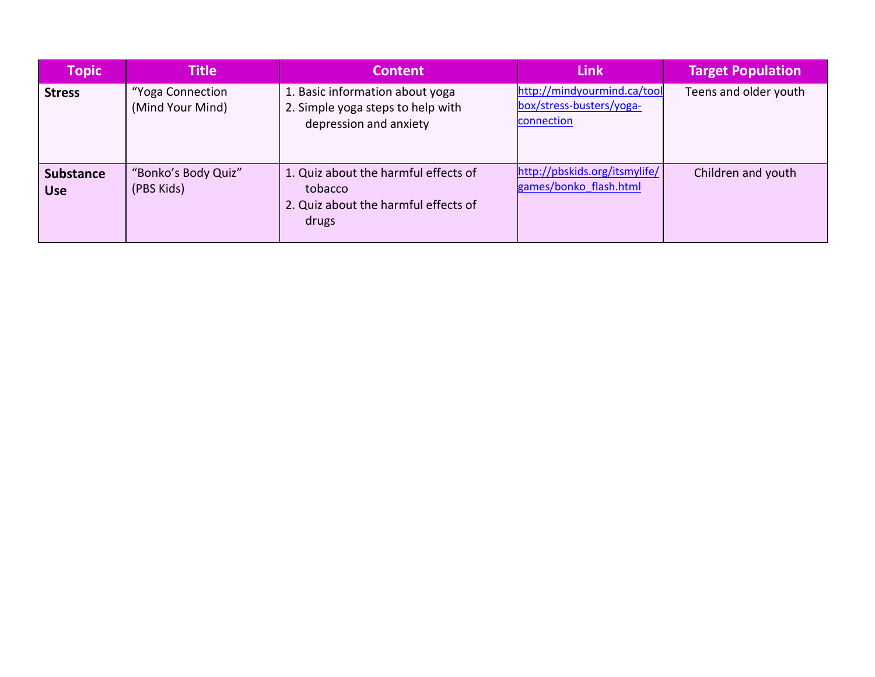| <b>Topic</b>                   | <b>Title</b>                         | <b>Content</b>                                                                                   | Link                                                                  | <b>Target Population</b> |
|--------------------------------|--------------------------------------|--------------------------------------------------------------------------------------------------|-----------------------------------------------------------------------|--------------------------|
| <b>Stress</b>                  | "Yoga Connection<br>(Mind Your Mind) | 1. Basic information about yoga<br>2. Simple yoga steps to help with<br>depression and anxiety   | http://mindyourmind.ca/tool<br>box/stress-busters/yoga-<br>connection | Teens and older youth    |
| <b>Substance</b><br><b>Use</b> | "Bonko's Body Quiz"<br>(PBS Kids)    | 1. Quiz about the harmful effects of<br>tobacco<br>2. Quiz about the harmful effects of<br>drugs | http://pbskids.org/itsmylife/<br>games/bonko flash.html               | Children and youth       |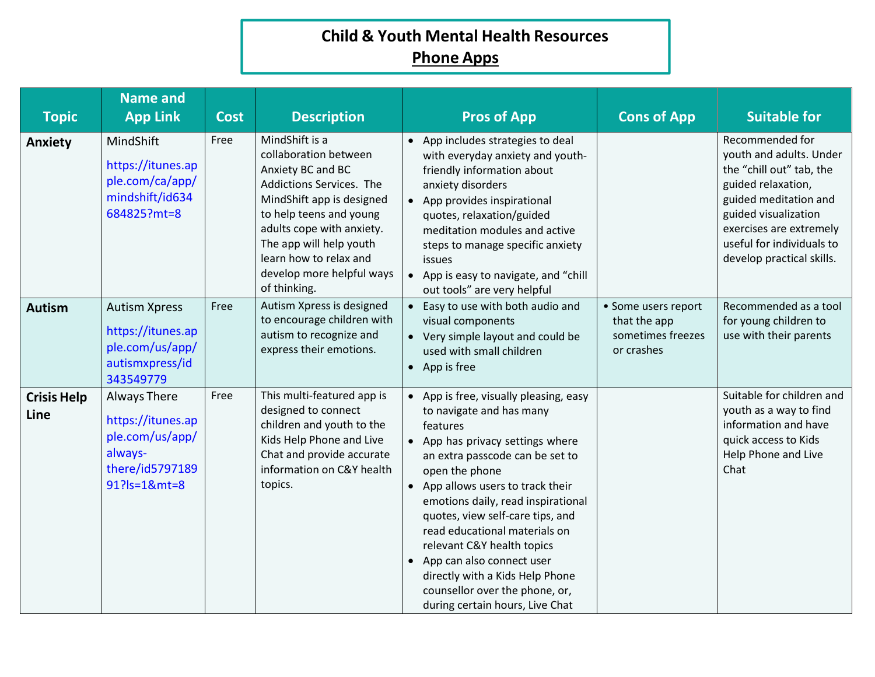## **Child & Youth Mental Health Resources Phone Apps**

| <b>Topic</b>               | <b>Name and</b><br><b>App Link</b>                                                                 | <b>Cost</b> | <b>Description</b>                                                                                                                                                                                                                                                              | <b>Pros of App</b>                                                                                                                                                                                                                                                                                                                                                                                                                                                                           | <b>Cons of App</b>                                                     | <b>Suitable for</b>                                                                                                                                                                                                                |
|----------------------------|----------------------------------------------------------------------------------------------------|-------------|---------------------------------------------------------------------------------------------------------------------------------------------------------------------------------------------------------------------------------------------------------------------------------|----------------------------------------------------------------------------------------------------------------------------------------------------------------------------------------------------------------------------------------------------------------------------------------------------------------------------------------------------------------------------------------------------------------------------------------------------------------------------------------------|------------------------------------------------------------------------|------------------------------------------------------------------------------------------------------------------------------------------------------------------------------------------------------------------------------------|
| <b>Anxiety</b>             | MindShift<br>https://itunes.ap<br>ple.com/ca/app/<br>mindshift/id634<br>684825?mt=8                | Free        | MindShift is a<br>collaboration between<br>Anxiety BC and BC<br>Addictions Services. The<br>MindShift app is designed<br>to help teens and young<br>adults cope with anxiety.<br>The app will help youth<br>learn how to relax and<br>develop more helpful ways<br>of thinking. | • App includes strategies to deal<br>with everyday anxiety and youth-<br>friendly information about<br>anxiety disorders<br>• App provides inspirational<br>quotes, relaxation/guided<br>meditation modules and active<br>steps to manage specific anxiety<br>issues<br>• App is easy to navigate, and "chill<br>out tools" are very helpful                                                                                                                                                 |                                                                        | Recommended for<br>youth and adults. Under<br>the "chill out" tab, the<br>guided relaxation,<br>guided meditation and<br>guided visualization<br>exercises are extremely<br>useful for individuals to<br>develop practical skills. |
| <b>Autism</b>              | <b>Autism Xpress</b><br>https://itunes.ap<br>ple.com/us/app/<br>autismxpress/id<br>343549779       | Free        | Autism Xpress is designed<br>to encourage children with<br>autism to recognize and<br>express their emotions.                                                                                                                                                                   | • Easy to use with both audio and<br>visual components<br>• Very simple layout and could be<br>used with small children<br>$\bullet$ App is free                                                                                                                                                                                                                                                                                                                                             | • Some users report<br>that the app<br>sometimes freezes<br>or crashes | Recommended as a tool<br>for young children to<br>use with their parents                                                                                                                                                           |
| <b>Crisis Help</b><br>Line | Always There<br>https://itunes.ap<br>ple.com/us/app/<br>always-<br>there/id5797189<br>91?ls=1&mt=8 | Free        | This multi-featured app is<br>designed to connect<br>children and youth to the<br>Kids Help Phone and Live<br>Chat and provide accurate<br>information on C&Y health<br>topics.                                                                                                 | • App is free, visually pleasing, easy<br>to navigate and has many<br>features<br>• App has privacy settings where<br>an extra passcode can be set to<br>open the phone<br>• App allows users to track their<br>emotions daily, read inspirational<br>quotes, view self-care tips, and<br>read educational materials on<br>relevant C&Y health topics<br>• App can also connect user<br>directly with a Kids Help Phone<br>counsellor over the phone, or,<br>during certain hours, Live Chat |                                                                        | Suitable for children and<br>youth as a way to find<br>information and have<br>quick access to Kids<br>Help Phone and Live<br>Chat                                                                                                 |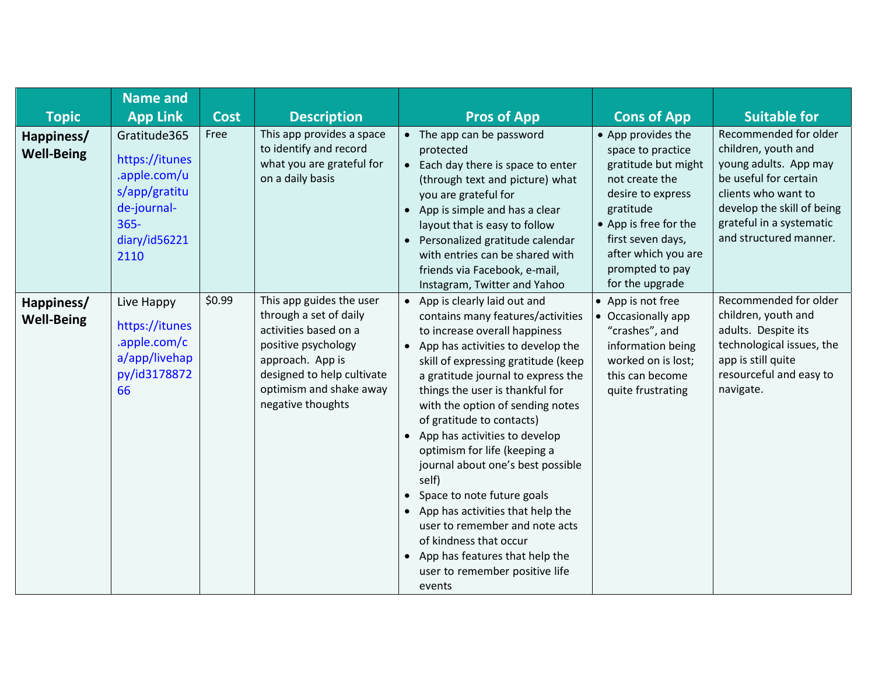|                                 | <b>Name and</b>                                                                                                    |             |                                                                                                                                                                                                      |                                                                                                                                                                                                                                                                                                                                                                                                                                                                                                                                                                                                                                                                |                                                                                                                                                                                                                               |                                                                                                                                                                                                           |
|---------------------------------|--------------------------------------------------------------------------------------------------------------------|-------------|------------------------------------------------------------------------------------------------------------------------------------------------------------------------------------------------------|----------------------------------------------------------------------------------------------------------------------------------------------------------------------------------------------------------------------------------------------------------------------------------------------------------------------------------------------------------------------------------------------------------------------------------------------------------------------------------------------------------------------------------------------------------------------------------------------------------------------------------------------------------------|-------------------------------------------------------------------------------------------------------------------------------------------------------------------------------------------------------------------------------|-----------------------------------------------------------------------------------------------------------------------------------------------------------------------------------------------------------|
| <b>Topic</b>                    | <b>App Link</b>                                                                                                    | <b>Cost</b> | <b>Description</b>                                                                                                                                                                                   | <b>Pros of App</b>                                                                                                                                                                                                                                                                                                                                                                                                                                                                                                                                                                                                                                             | <b>Cons of App</b>                                                                                                                                                                                                            | <b>Suitable for</b>                                                                                                                                                                                       |
| Happiness/<br><b>Well-Being</b> | Gratitude365<br>https://itunes<br>.apple.com/u<br>s/app/gratitu<br>de-journal-<br>$365 -$<br>diary/id56221<br>2110 | Free        | This app provides a space<br>to identify and record<br>what you are grateful for<br>on a daily basis                                                                                                 | • The app can be password<br>protected<br>• Each day there is space to enter<br>(through text and picture) what<br>you are grateful for<br>• App is simple and has a clear<br>layout that is easy to follow<br>• Personalized gratitude calendar<br>with entries can be shared with<br>friends via Facebook, e-mail,<br>Instagram, Twitter and Yahoo                                                                                                                                                                                                                                                                                                           | • App provides the<br>space to practice<br>gratitude but might<br>not create the<br>desire to express<br>gratitude<br>• App is free for the<br>first seven days,<br>after which you are<br>prompted to pay<br>for the upgrade | Recommended for older<br>children, youth and<br>young adults. App may<br>be useful for certain<br>clients who want to<br>develop the skill of being<br>grateful in a systematic<br>and structured manner. |
| Happiness/<br><b>Well-Being</b> | Live Happy<br>https://itunes<br>.apple.com/c<br>a/app/livehap<br>py/id3178872<br>66                                | \$0.99      | This app guides the user<br>through a set of daily<br>activities based on a<br>positive psychology<br>approach. App is<br>designed to help cultivate<br>optimism and shake away<br>negative thoughts | • App is clearly laid out and<br>contains many features/activities<br>to increase overall happiness<br>• App has activities to develop the<br>skill of expressing gratitude (keep<br>a gratitude journal to express the<br>things the user is thankful for<br>with the option of sending notes<br>of gratitude to contacts)<br>• App has activities to develop<br>optimism for life (keeping a<br>journal about one's best possible<br>self)<br>• Space to note future goals<br>• App has activities that help the<br>user to remember and note acts<br>of kindness that occur<br>• App has features that help the<br>user to remember positive life<br>events | • App is not free<br>• Occasionally app<br>"crashes", and<br>information being<br>worked on is lost;<br>this can become<br>quite frustrating                                                                                  | Recommended for older<br>children, youth and<br>adults. Despite its<br>technological issues, the<br>app is still quite<br>resourceful and easy to<br>navigate.                                            |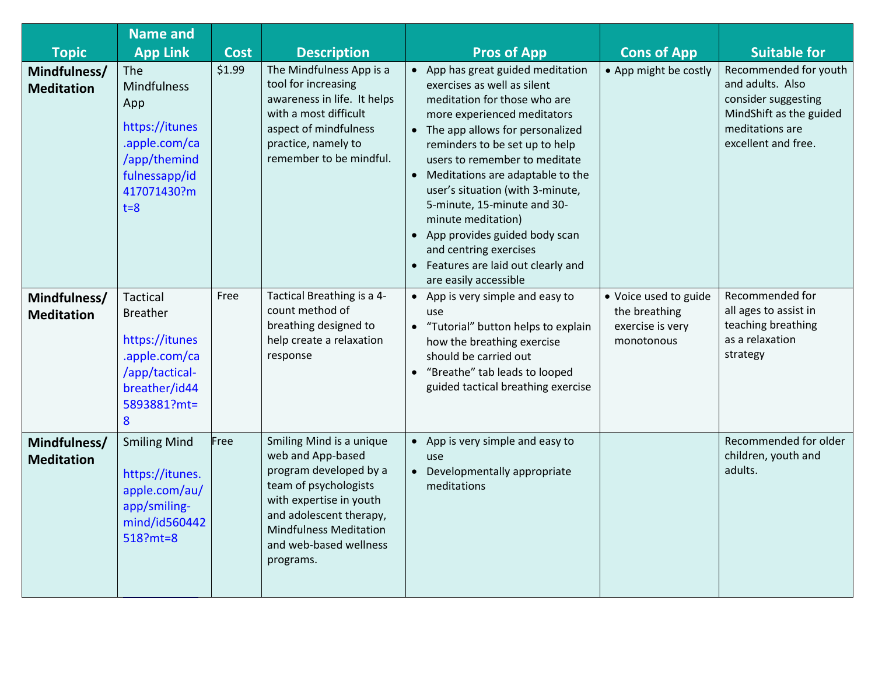|                                                   | <b>Name and</b><br><b>App Link</b>                                                                                           | <b>Cost</b> |                                                                                                                                                                                                                                | <b>Pros of App</b><br><b>Suitable for</b>                                                                                                                                                                                                                                                                                                                                                                                                                                                                                                                                                                                                                                                              |  |
|---------------------------------------------------|------------------------------------------------------------------------------------------------------------------------------|-------------|--------------------------------------------------------------------------------------------------------------------------------------------------------------------------------------------------------------------------------|--------------------------------------------------------------------------------------------------------------------------------------------------------------------------------------------------------------------------------------------------------------------------------------------------------------------------------------------------------------------------------------------------------------------------------------------------------------------------------------------------------------------------------------------------------------------------------------------------------------------------------------------------------------------------------------------------------|--|
| <b>Topic</b><br>Mindfulness/<br><b>Meditation</b> | The<br><b>Mindfulness</b><br>App<br>https://itunes<br>.apple.com/ca<br>/app/themind<br>fulnessapp/id<br>417071430?m<br>$t=8$ | \$1.99      | <b>Description</b><br>The Mindfulness App is a<br>tool for increasing<br>awareness in life. It helps<br>with a most difficult<br>aspect of mindfulness<br>practice, namely to<br>remember to be mindful.                       | <b>Cons of App</b><br>Recommended for youth<br>• App has great guided meditation<br>• App might be costly<br>and adults. Also<br>exercises as well as silent<br>consider suggesting<br>meditation for those who are<br>MindShift as the guided<br>more experienced meditators<br>meditations are<br>• The app allows for personalized<br>excellent and free.<br>reminders to be set up to help<br>users to remember to meditate<br>Meditations are adaptable to the<br>$\bullet$<br>user's situation (with 3-minute,<br>5-minute, 15-minute and 30-<br>minute meditation)<br>• App provides guided body scan<br>and centring exercises<br>• Features are laid out clearly and<br>are easily accessible |  |
| Mindfulness/<br><b>Meditation</b>                 | <b>Tactical</b><br><b>Breather</b><br>https://itunes<br>.apple.com/ca<br>/app/tactical-<br>breather/id44<br>5893881?mt=<br>8 | Free        | Tactical Breathing is a 4-<br>count method of<br>breathing designed to<br>help create a relaxation<br>response                                                                                                                 | Recommended for<br>App is very simple and easy to<br>$\bullet$<br>• Voice used to guide<br>all ages to assist in<br>the breathing<br>use<br>teaching breathing<br>exercise is very<br>• "Tutorial" button helps to explain<br>as a relaxation<br>how the breathing exercise<br>monotonous<br>strategy<br>should be carried out<br>• "Breathe" tab leads to looped<br>guided tactical breathing exercise                                                                                                                                                                                                                                                                                                |  |
| Mindfulness/<br><b>Meditation</b>                 | <b>Smiling Mind</b><br>https://itunes.<br>apple.com/au/<br>app/smiling-<br>mind/id560442<br>518?mt=8                         | Free        | Smiling Mind is a unique<br>web and App-based<br>program developed by a<br>team of psychologists<br>with expertise in youth<br>and adolescent therapy,<br><b>Mindfulness Meditation</b><br>and web-based wellness<br>programs. | Recommended for older<br>App is very simple and easy to<br>children, youth and<br>use<br>adults.<br>Developmentally appropriate<br>$\bullet$<br>meditations                                                                                                                                                                                                                                                                                                                                                                                                                                                                                                                                            |  |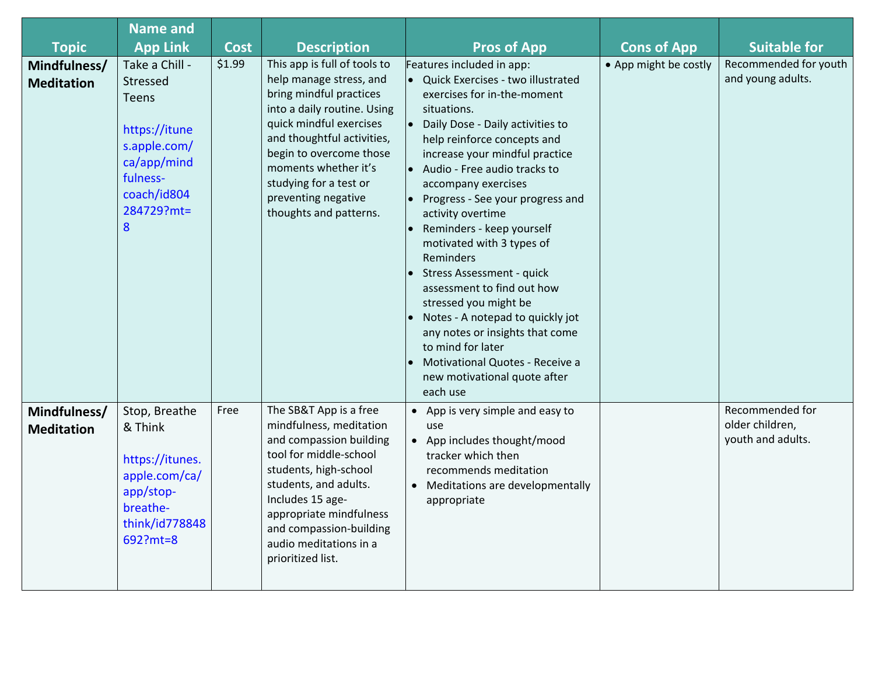|                                   | <b>Name and</b>                                                                                                                   |             |                                                                                                                                                                                                                                                                                                          |                                                                                                                                                                                                                                                                                                                                                                                                                                                                                                                                                                                                                                                                         |                       |                                                         |
|-----------------------------------|-----------------------------------------------------------------------------------------------------------------------------------|-------------|----------------------------------------------------------------------------------------------------------------------------------------------------------------------------------------------------------------------------------------------------------------------------------------------------------|-------------------------------------------------------------------------------------------------------------------------------------------------------------------------------------------------------------------------------------------------------------------------------------------------------------------------------------------------------------------------------------------------------------------------------------------------------------------------------------------------------------------------------------------------------------------------------------------------------------------------------------------------------------------------|-----------------------|---------------------------------------------------------|
| <b>Topic</b>                      | <b>App Link</b>                                                                                                                   | <b>Cost</b> | <b>Description</b>                                                                                                                                                                                                                                                                                       | <b>Pros of App</b>                                                                                                                                                                                                                                                                                                                                                                                                                                                                                                                                                                                                                                                      | <b>Cons of App</b>    | <b>Suitable for</b>                                     |
| Mindfulness/<br><b>Meditation</b> | Take a Chill -<br>Stressed<br>Teens<br>https://itune<br>s.apple.com/<br>ca/app/mind<br>fulness-<br>coach/id804<br>284729?mt=<br>8 | \$1.99      | This app is full of tools to<br>help manage stress, and<br>bring mindful practices<br>into a daily routine. Using<br>quick mindful exercises<br>and thoughtful activities,<br>begin to overcome those<br>moments whether it's<br>studying for a test or<br>preventing negative<br>thoughts and patterns. | Features included in app:<br>Quick Exercises - two illustrated<br>exercises for in-the-moment<br>situations.<br>Daily Dose - Daily activities to<br>help reinforce concepts and<br>increase your mindful practice<br>Audio - Free audio tracks to<br>accompany exercises<br>Progress - See your progress and<br>activity overtime<br>Reminders - keep yourself<br>motivated with 3 types of<br>Reminders<br>Stress Assessment - quick<br>assessment to find out how<br>stressed you might be<br>Notes - A notepad to quickly jot<br>any notes or insights that come<br>to mind for later<br>Motivational Quotes - Receive a<br>new motivational quote after<br>each use | • App might be costly | Recommended for youth<br>and young adults.              |
| Mindfulness/<br><b>Meditation</b> | Stop, Breathe<br>& Think<br>https://itunes.<br>apple.com/ca/<br>app/stop-<br>breathe-<br>think/id778848<br>692?mt=8               | Free        | The SB&T App is a free<br>mindfulness, meditation<br>and compassion building<br>tool for middle-school<br>students, high-school<br>students, and adults.<br>Includes 15 age-<br>appropriate mindfulness<br>and compassion-building<br>audio meditations in a<br>prioritized list.                        | • App is very simple and easy to<br>use<br>• App includes thought/mood<br>tracker which then<br>recommends meditation<br>• Meditations are developmentally<br>appropriate                                                                                                                                                                                                                                                                                                                                                                                                                                                                                               |                       | Recommended for<br>older children,<br>youth and adults. |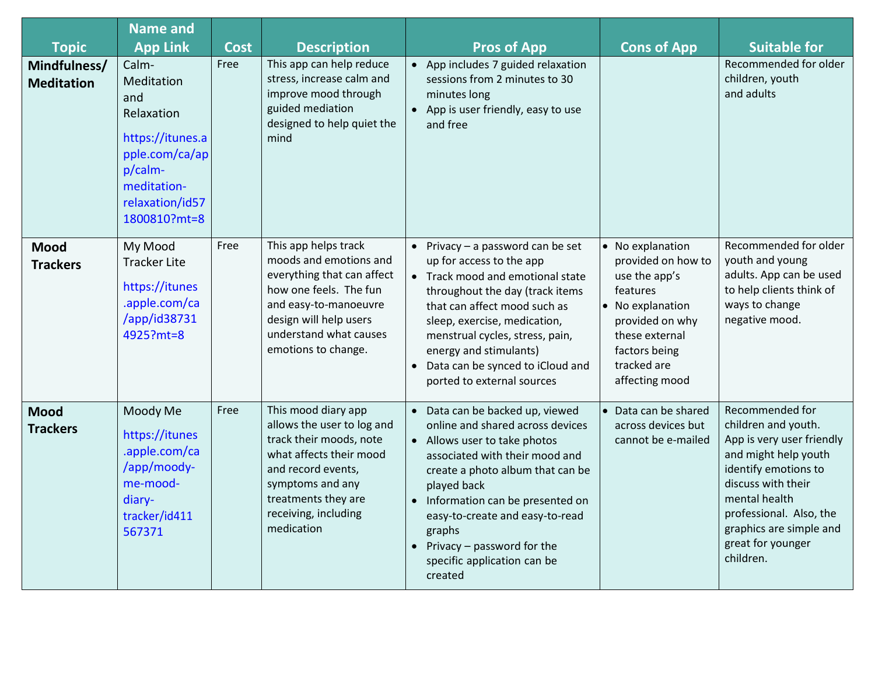| <b>Topic</b>                      | <b>Name and</b><br><b>App Link</b>                                                                                                          | <b>Cost</b> | <b>Description</b>                                                                                                                                                                                             | <b>Pros of App</b>                                                                                                                                                                                                                                                                                                                                     | <b>Cons of App</b>                                                                                                                                                             | <b>Suitable for</b>                                                                                                                                                                                                                                |
|-----------------------------------|---------------------------------------------------------------------------------------------------------------------------------------------|-------------|----------------------------------------------------------------------------------------------------------------------------------------------------------------------------------------------------------------|--------------------------------------------------------------------------------------------------------------------------------------------------------------------------------------------------------------------------------------------------------------------------------------------------------------------------------------------------------|--------------------------------------------------------------------------------------------------------------------------------------------------------------------------------|----------------------------------------------------------------------------------------------------------------------------------------------------------------------------------------------------------------------------------------------------|
| Mindfulness/<br><b>Meditation</b> | Calm-<br>Meditation<br>and<br>Relaxation<br>https://itunes.a<br>pple.com/ca/ap<br>p/calm-<br>meditation-<br>relaxation/id57<br>1800810?mt=8 | Free        | This app can help reduce<br>stress, increase calm and<br>improve mood through<br>guided mediation<br>designed to help quiet the<br>mind                                                                        | • App includes 7 guided relaxation<br>sessions from 2 minutes to 30<br>minutes long<br>• App is user friendly, easy to use<br>and free                                                                                                                                                                                                                 |                                                                                                                                                                                | Recommended for older<br>children, youth<br>and adults                                                                                                                                                                                             |
| <b>Mood</b><br><b>Trackers</b>    | My Mood<br><b>Tracker Lite</b><br>https://itunes<br>.apple.com/ca<br>/app/id38731<br>4925?mt=8                                              | Free        | This app helps track<br>moods and emotions and<br>everything that can affect<br>how one feels. The fun<br>and easy-to-manoeuvre<br>design will help users<br>understand what causes<br>emotions to change.     | • Privacy $-$ a password can be set<br>up for access to the app<br>• Track mood and emotional state<br>throughout the day (track items<br>that can affect mood such as<br>sleep, exercise, medication,<br>menstrual cycles, stress, pain,<br>energy and stimulants)<br>Data can be synced to iCloud and<br>$\bullet$<br>ported to external sources     | • No explanation<br>provided on how to<br>use the app's<br>features<br>• No explanation<br>provided on why<br>these external<br>factors being<br>tracked are<br>affecting mood | Recommended for older<br>youth and young<br>adults. App can be used<br>to help clients think of<br>ways to change<br>negative mood.                                                                                                                |
| <b>Mood</b><br><b>Trackers</b>    | Moody Me<br>https://itunes<br>.apple.com/ca<br>/app/moody-<br>me-mood-<br>diary-<br>tracker/id411<br>567371                                 | Free        | This mood diary app<br>allows the user to log and<br>track their moods, note<br>what affects their mood<br>and record events,<br>symptoms and any<br>treatments they are<br>receiving, including<br>medication | • Data can be backed up, viewed<br>online and shared across devices<br>• Allows user to take photos<br>associated with their mood and<br>create a photo album that can be<br>played back<br>• Information can be presented on<br>easy-to-create and easy-to-read<br>graphs<br>• Privacy $-$ password for the<br>specific application can be<br>created | • Data can be shared<br>across devices but<br>cannot be e-mailed                                                                                                               | Recommended for<br>children and youth.<br>App is very user friendly<br>and might help youth<br>identify emotions to<br>discuss with their<br>mental health<br>professional. Also, the<br>graphics are simple and<br>great for younger<br>children. |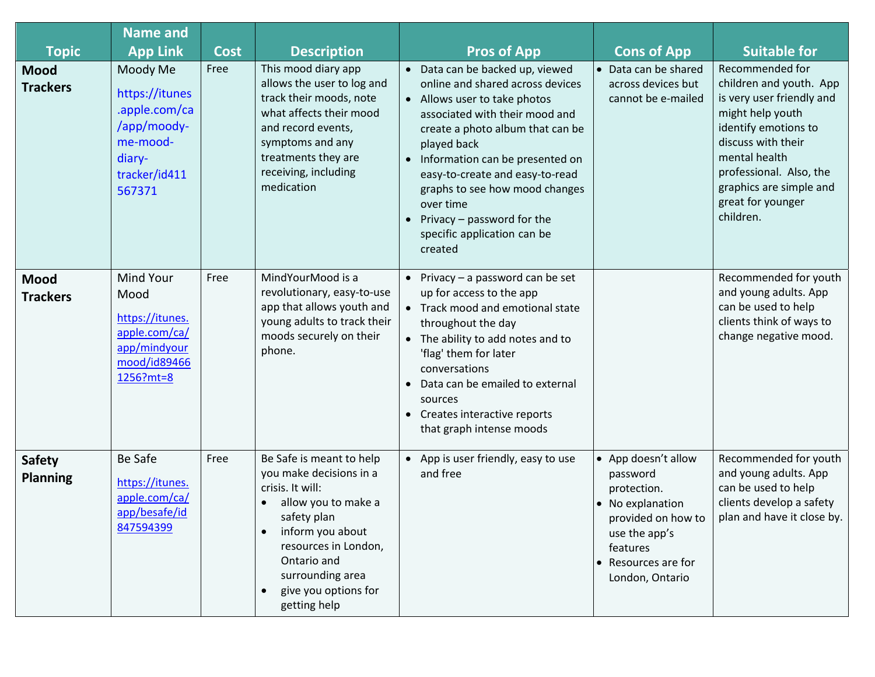| <b>Topic</b>                     | <b>Name and</b><br><b>App Link</b>                                                                          | <b>Cost</b> | <b>Description</b>                                                                                                                                                                                                                   | <b>Pros of App</b>                                                                                                                                                                                                                                                                                                                                                                      | <b>Cons of App</b>                                                                                                                                              | <b>Suitable for</b>                                                                                                                                                                                                                                |
|----------------------------------|-------------------------------------------------------------------------------------------------------------|-------------|--------------------------------------------------------------------------------------------------------------------------------------------------------------------------------------------------------------------------------------|-----------------------------------------------------------------------------------------------------------------------------------------------------------------------------------------------------------------------------------------------------------------------------------------------------------------------------------------------------------------------------------------|-----------------------------------------------------------------------------------------------------------------------------------------------------------------|----------------------------------------------------------------------------------------------------------------------------------------------------------------------------------------------------------------------------------------------------|
| <b>Mood</b><br><b>Trackers</b>   | Moody Me<br>https://itunes<br>.apple.com/ca<br>/app/moody-<br>me-mood-<br>diary-<br>tracker/id411<br>567371 | Free        | This mood diary app<br>allows the user to log and<br>track their moods, note<br>what affects their mood<br>and record events,<br>symptoms and any<br>treatments they are<br>receiving, including<br>medication                       | • Data can be backed up, viewed<br>online and shared across devices<br>• Allows user to take photos<br>associated with their mood and<br>create a photo album that can be<br>played back<br>• Information can be presented on<br>easy-to-create and easy-to-read<br>graphs to see how mood changes<br>over time<br>Privacy - password for the<br>specific application can be<br>created | • Data can be shared<br>across devices but<br>cannot be e-mailed                                                                                                | Recommended for<br>children and youth. App<br>is very user friendly and<br>might help youth<br>identify emotions to<br>discuss with their<br>mental health<br>professional. Also, the<br>graphics are simple and<br>great for younger<br>children. |
| Mood<br><b>Trackers</b>          | <b>Mind Your</b><br>Mood<br>https://itunes.<br>apple.com/ca/<br>app/mindyour<br>mood/id89466<br>1256?mt=8   | Free        | MindYourMood is a<br>revolutionary, easy-to-use<br>app that allows youth and<br>young adults to track their<br>moods securely on their<br>phone.                                                                                     | • Privacy $-$ a password can be set<br>up for access to the app<br>• Track mood and emotional state<br>throughout the day<br>• The ability to add notes and to<br>'flag' them for later<br>conversations<br>Data can be emailed to external<br>sources<br>• Creates interactive reports<br>that graph intense moods                                                                     |                                                                                                                                                                 | Recommended for youth<br>and young adults. App<br>can be used to help<br>clients think of ways to<br>change negative mood.                                                                                                                         |
| <b>Safety</b><br><b>Planning</b> | <b>Be Safe</b><br>https://itunes.<br>apple.com/ca/<br>app/besafe/id<br>847594399                            | Free        | Be Safe is meant to help<br>you make decisions in a<br>crisis. It will:<br>allow you to make a<br>safety plan<br>inform you about<br>resources in London,<br>Ontario and<br>surrounding area<br>give you options for<br>getting help | • App is user friendly, easy to use<br>and free                                                                                                                                                                                                                                                                                                                                         | • App doesn't allow<br>password<br>protection.<br>• No explanation<br>provided on how to<br>use the app's<br>features<br>• Resources are for<br>London, Ontario | Recommended for youth<br>and young adults. App<br>can be used to help<br>clients develop a safety<br>plan and have it close by.                                                                                                                    |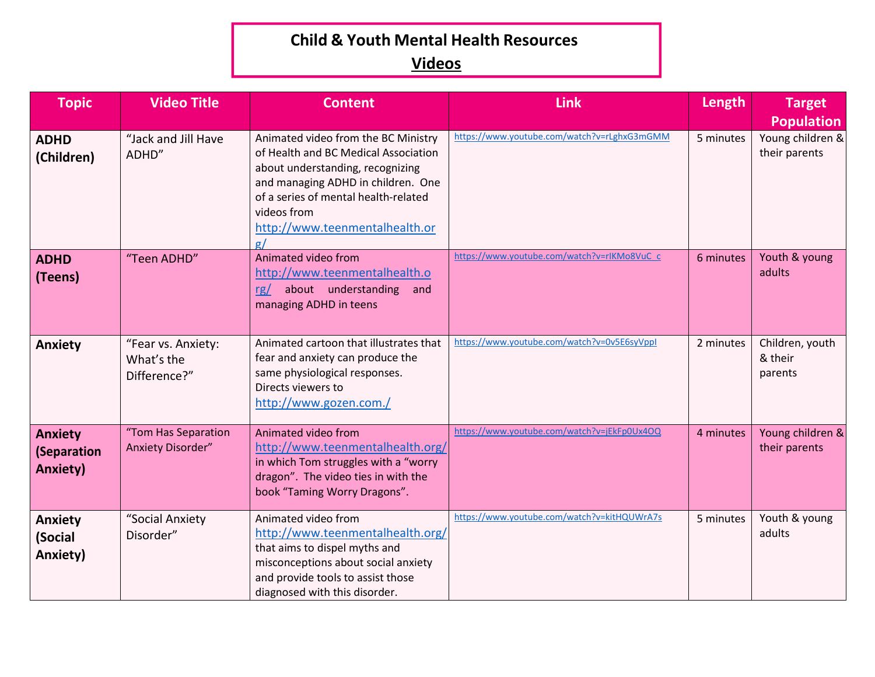#### **Child & Youth Mental Health Resources**

#### **Videos**

| <b>Topic</b>                                     | <b>Video Title</b>                               | <b>Content</b>                                                                                                                                                                                                                                              | <b>Link</b>                                 | Length    | <b>Target</b><br><b>Population</b>    |
|--------------------------------------------------|--------------------------------------------------|-------------------------------------------------------------------------------------------------------------------------------------------------------------------------------------------------------------------------------------------------------------|---------------------------------------------|-----------|---------------------------------------|
| <b>ADHD</b><br>(Children)                        | "Jack and Jill Have<br>ADHD"                     | Animated video from the BC Ministry<br>of Health and BC Medical Association<br>about understanding, recognizing<br>and managing ADHD in children. One<br>of a series of mental health-related<br>videos from<br>http://www.teenmentalhealth.or<br>$\sigma/$ | https://www.youtube.com/watch?v=rLghxG3mGMM | 5 minutes | Young children &<br>their parents     |
| <b>ADHD</b><br>(Teens)                           | "Teen ADHD"                                      | Animated video from<br>http://www.teenmentalhealth.o<br>rg/ about understanding<br>and<br>managing ADHD in teens                                                                                                                                            | https://www.youtube.com/watch?v=rlKMo8VuC_c | 6 minutes | Youth & young<br>adults               |
| <b>Anxiety</b>                                   | "Fear vs. Anxiety:<br>What's the<br>Difference?" | Animated cartoon that illustrates that<br>fear and anxiety can produce the<br>same physiological responses.<br>Directs viewers to<br>http://www.gozen.com./                                                                                                 | https://www.youtube.com/watch?v=0v5E6syVppI | 2 minutes | Children, youth<br>& their<br>parents |
| <b>Anxiety</b><br>(Separation<br><b>Anxiety)</b> | "Tom Has Separation<br>Anxiety Disorder"         | Animated video from<br>http://www.teenmentalhealth.org/<br>in which Tom struggles with a "worry<br>dragon". The video ties in with the<br>book "Taming Worry Dragons".                                                                                      | https://www.youtube.com/watch?v=jEkFp0Ux4OQ | 4 minutes | Young children &<br>their parents     |
| <b>Anxiety</b><br>(Social<br>Anxiety)            | "Social Anxiety<br>Disorder"                     | Animated video from<br>http://www.teenmentalhealth.org/<br>that aims to dispel myths and<br>misconceptions about social anxiety<br>and provide tools to assist those<br>diagnosed with this disorder.                                                       | https://www.youtube.com/watch?v=kitHQUWrA7s | 5 minutes | Youth & young<br>adults               |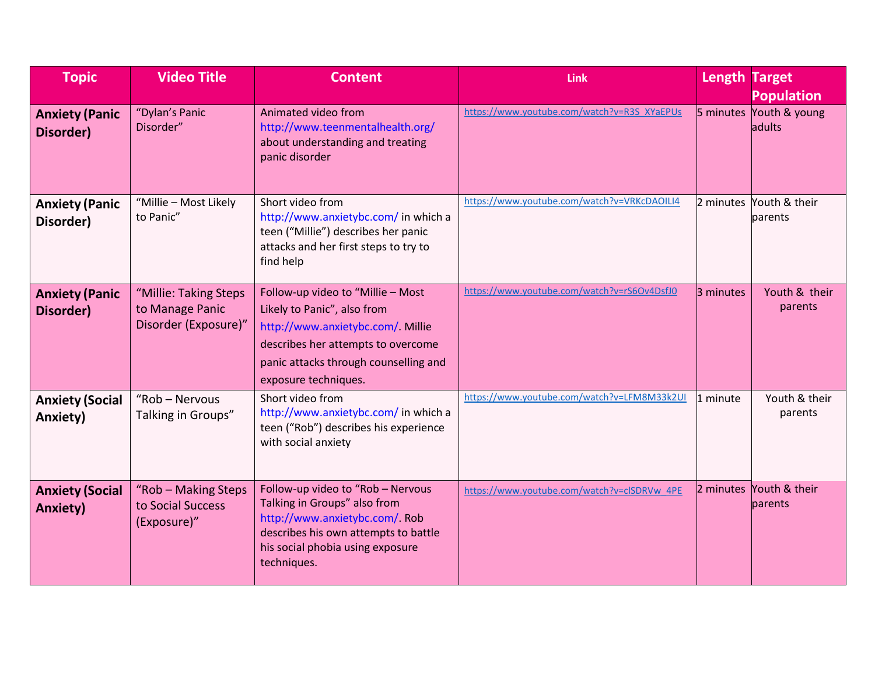| <b>Topic</b>                              | <b>Video Title</b>                                               | <b>Content</b>                                                                                                                                                                                              | <b>Link</b>                                 | <b>Length Target</b> | <b>Population</b>                  |
|-------------------------------------------|------------------------------------------------------------------|-------------------------------------------------------------------------------------------------------------------------------------------------------------------------------------------------------------|---------------------------------------------|----------------------|------------------------------------|
| <b>Anxiety (Panic</b><br>Disorder)        | "Dylan's Panic<br>Disorder"                                      | Animated video from<br>http://www.teenmentalhealth.org/<br>about understanding and treating<br>panic disorder                                                                                               | https://www.youtube.com/watch?v=R3S_XYaEPUs |                      | 5 minutes Youth & young<br>adults  |
| <b>Anxiety (Panic</b><br>Disorder)        | "Millie - Most Likely<br>to Panic"                               | Short video from<br>http://www.anxietybc.com/ in which a<br>teen ("Millie") describes her panic<br>attacks and her first steps to try to<br>find help                                                       | https://www.youtube.com/watch?v=VRKcDAOILI4 |                      | 2 minutes Youth & their<br>parents |
| <b>Anxiety (Panic</b><br>Disorder)        | "Millie: Taking Steps<br>to Manage Panic<br>Disorder (Exposure)" | Follow-up video to "Millie - Most<br>Likely to Panic", also from<br>http://www.anxietybc.com/ Millie<br>describes her attempts to overcome<br>panic attacks through counselling and<br>exposure techniques. | https://www.youtube.com/watch?v=rS6Ov4DsfJ0 | 3 minutes            | Youth & their<br>parents           |
| <b>Anxiety (Social</b><br>Anxiety)        | "Rob - Nervous<br>Talking in Groups"                             | Short video from<br>http://www.anxietybc.com/ in which a<br>teen ("Rob") describes his experience<br>with social anxiety                                                                                    | https://www.youtube.com/watch?v=LFM8M33k2UI | 1 minute             | Youth & their<br>parents           |
| <b>Anxiety (Social</b><br><b>Anxiety)</b> | "Rob - Making Steps<br>to Social Success<br>(Exposure)"          | Follow-up video to "Rob - Nervous<br>Talking in Groups" also from<br>http://www.anxietybc.com/ Rob<br>describes his own attempts to battle<br>his social phobia using exposure<br>techniques.               | https://www.youtube.com/watch?v=clSDRVw_4PE |                      | 2 minutes Youth & their<br>parents |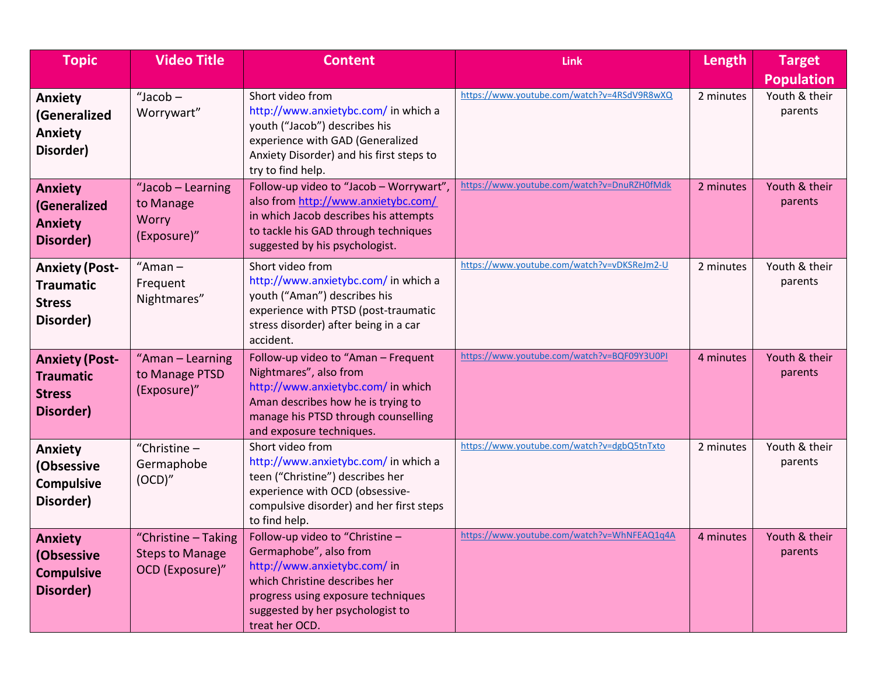| <b>Topic</b>                                                            | <b>Video Title</b>                                               | <b>Content</b>                                                                                                                                                                                                         | <b>Link</b>                                 | Length    | <b>Target</b><br><b>Population</b> |
|-------------------------------------------------------------------------|------------------------------------------------------------------|------------------------------------------------------------------------------------------------------------------------------------------------------------------------------------------------------------------------|---------------------------------------------|-----------|------------------------------------|
| <b>Anxiety</b><br>(Generalized<br><b>Anxiety</b><br>Disorder)           | "Jacob-<br>Worrywart"                                            | Short video from<br>http://www.anxietybc.com/ in which a<br>youth ("Jacob") describes his<br>experience with GAD (Generalized<br>Anxiety Disorder) and his first steps to<br>try to find help.                         | https://www.youtube.com/watch?v=4RSdV9R8wXQ | 2 minutes | Youth & their<br>parents           |
| <b>Anxiety</b><br>(Generalized<br><b>Anxiety</b><br>Disorder)           | "Jacob - Learning<br>to Manage<br>Worry<br>(Exposure)"           | Follow-up video to "Jacob - Worrywart",<br>also from http://www.anxietybc.com/<br>in which Jacob describes his attempts<br>to tackle his GAD through techniques<br>suggested by his psychologist.                      | https://www.youtube.com/watch?v=DnuRZH0fMdk | 2 minutes | Youth & their<br>parents           |
| <b>Anxiety (Post-</b><br><b>Traumatic</b><br><b>Stress</b><br>Disorder) | "Aman $-$<br>Frequent<br>Nightmares"                             | Short video from<br>http://www.anxietybc.com/ in which a<br>youth ("Aman") describes his<br>experience with PTSD (post-traumatic<br>stress disorder) after being in a car<br>accident.                                 | https://www.youtube.com/watch?v=vDKSReJm2-U | 2 minutes | Youth & their<br>parents           |
| <b>Anxiety (Post-</b><br><b>Traumatic</b><br><b>Stress</b><br>Disorder) | "Aman - Learning<br>to Manage PTSD<br>(Exposure)"                | Follow-up video to "Aman - Frequent<br>Nightmares", also from<br>http://www.anxietybc.com/ in which<br>Aman describes how he is trying to<br>manage his PTSD through counselling<br>and exposure techniques.           | https://www.youtube.com/watch?v=BQF09Y3U0PI | 4 minutes | Youth & their<br>parents           |
| <b>Anxiety</b><br>(Obsessive<br><b>Compulsive</b><br>Disorder)          | "Christine $-$<br>Germaphobe<br>(OCD)''                          | Short video from<br>http://www.anxietybc.com/ in which a<br>teen ("Christine") describes her<br>experience with OCD (obsessive-<br>compulsive disorder) and her first steps<br>to find help.                           | https://www.youtube.com/watch?v=dgbQ5tnTxto | 2 minutes | Youth & their<br>parents           |
| <b>Anxiety</b><br>(Obsessive<br><b>Compulsive</b><br>Disorder)          | "Christine - Taking<br><b>Steps to Manage</b><br>OCD (Exposure)" | Follow-up video to "Christine -<br>Germaphobe", also from<br>http://www.anxietybc.com/ in<br>which Christine describes her<br>progress using exposure techniques<br>suggested by her psychologist to<br>treat her OCD. | https://www.youtube.com/watch?v=WhNFEAQ1q4A | 4 minutes | Youth & their<br>parents           |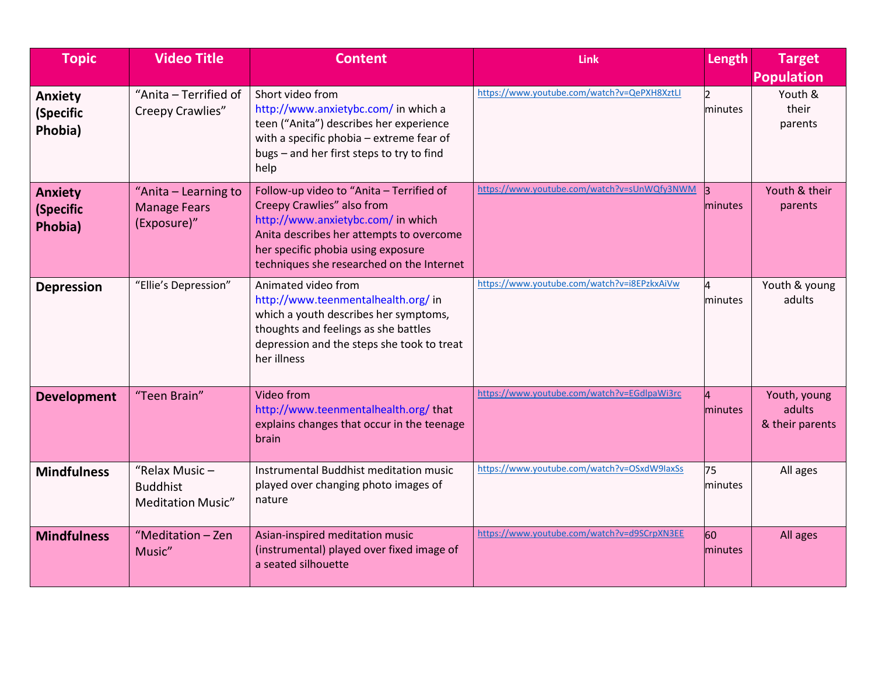| <b>Topic</b>                           | <b>Video Title</b>                                              | <b>Content</b>                                                                                                                                                                                                                              | <b>Link</b>                                 | Length                    | <b>Target</b><br><b>Population</b>        |
|----------------------------------------|-----------------------------------------------------------------|---------------------------------------------------------------------------------------------------------------------------------------------------------------------------------------------------------------------------------------------|---------------------------------------------|---------------------------|-------------------------------------------|
| Anxiety<br>(Specific<br>Phobia)        | "Anita - Terrified of<br>Creepy Crawlies"                       | Short video from<br>http://www.anxietybc.com/ in which a<br>teen ("Anita") describes her experience<br>with a specific phobia - extreme fear of<br>bugs - and her first steps to try to find<br>help                                        | https://www.youtube.com/watch?v=QePXH8XztLI | $\overline{2}$<br>minutes | Youth &<br>their<br>parents               |
| <b>Anxiety</b><br>(Specific<br>Phobia) | "Anita - Learning to<br><b>Manage Fears</b><br>(Exposure)"      | Follow-up video to "Anita - Terrified of<br>Creepy Crawlies" also from<br>http://www.anxietybc.com/ in which<br>Anita describes her attempts to overcome<br>her specific phobia using exposure<br>techniques she researched on the Internet | https://www.youtube.com/watch?v=sUnWQfy3NWM | $\mathbf{B}$<br>minutes   | Youth & their<br>parents                  |
| <b>Depression</b>                      | "Ellie's Depression"                                            | Animated video from<br>http://www.teenmentalhealth.org/ in<br>which a youth describes her symptoms,<br>thoughts and feelings as she battles<br>depression and the steps she took to treat<br>her illness                                    | https://www.youtube.com/watch?v=i8EPzkxAiVw | 4<br>minutes              | Youth & young<br>adults                   |
| <b>Development</b>                     | "Teen Brain"                                                    | Video from<br>http://www.teenmentalhealth.org/that<br>explains changes that occur in the teenage<br>brain                                                                                                                                   | https://www.youtube.com/watch?v=EGdlpaWi3rc | 4<br>minutes              | Youth, young<br>adults<br>& their parents |
| <b>Mindfulness</b>                     | "Relax Music $-$<br><b>Buddhist</b><br><b>Meditation Music"</b> | Instrumental Buddhist meditation music<br>played over changing photo images of<br>nature                                                                                                                                                    | https://www.youtube.com/watch?v=OSxdW9laxSs | 75<br>minutes             | All ages                                  |
| <b>Mindfulness</b>                     | "Meditation - Zen<br>Music"                                     | Asian-inspired meditation music<br>(instrumental) played over fixed image of<br>a seated silhouette                                                                                                                                         | https://www.youtube.com/watch?v=d9SCrpXN3EE | 60<br>minutes             | All ages                                  |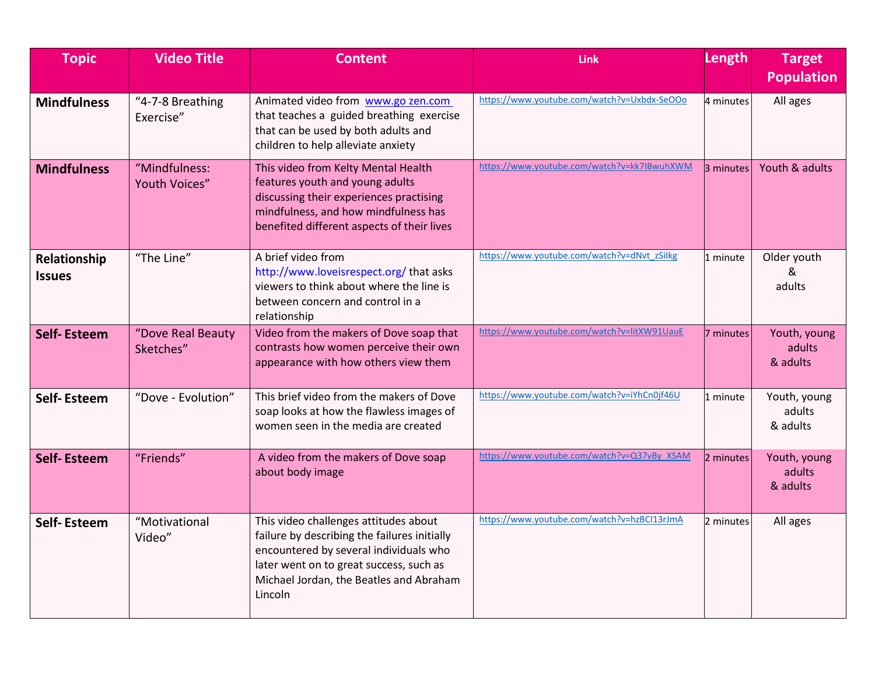| <b>Topic</b>                  | <b>Video Title</b>             | <b>Content</b>                                                                                                                                                                                                                   | <b>Link</b>                                 | Length    | <b>Target</b><br><b>Population</b> |
|-------------------------------|--------------------------------|----------------------------------------------------------------------------------------------------------------------------------------------------------------------------------------------------------------------------------|---------------------------------------------|-----------|------------------------------------|
| <b>Mindfulness</b>            | "4-7-8 Breathing<br>Exercise"  | Animated video from www.go zen.com<br>that teaches a guided breathing exercise<br>that can be used by both adults and<br>children to help alleviate anxiety                                                                      | https://www.youtube.com/watch?v=Uxbdx-SeOOo | 4 minutes | All ages                           |
| <b>Mindfulness</b>            | "Mindfulness:<br>Youth Voices" | This video from Kelty Mental Health<br>features youth and young adults<br>discussing their experiences practising<br>mindfulness, and how mindfulness has<br>benefited different aspects of their lives                          | https://www.youtube.com/watch?v=kk7IBwuhXWM | 3 minutes | Youth & adults                     |
| Relationship<br><b>Issues</b> | "The Line"                     | A brief video from<br>http://www.loveisrespect.org/thatasks<br>viewers to think about where the line is<br>between concern and control in a<br>relationship                                                                      | https://www.youtube.com/watch?v=dNvt_zSilkg | 1 minute  | Older youth<br>&<br>adults         |
| <b>Self-Esteem</b>            | "Dove Real Beauty<br>Sketches" | Video from the makers of Dove soap that<br>contrasts how women perceive their own<br>appearance with how others view them                                                                                                        | https://www.youtube.com/watch?v=litXW91UauE | 7 minutes | Youth, young<br>adults<br>& adults |
| <b>Self-Esteem</b>            | "Dove - Evolution"             | This brief video from the makers of Dove<br>soap looks at how the flawless images of<br>women seen in the media are created                                                                                                      | https://www.youtube.com/watch?v=iYhCn0jf46U | 1 minute  | Youth, young<br>adults<br>& adults |
| <b>Self-Esteem</b>            | "Friends"                      | A video from the makers of Dove soap<br>about body image                                                                                                                                                                         | https://www.youtube.com/watch?v=Q37vBy XSAM | 2 minutes | Youth, young<br>adults<br>& adults |
| <b>Self-Esteem</b>            | "Motivational<br>Video"        | This video challenges attitudes about<br>failure by describing the failures initially<br>encountered by several individuals who<br>later went on to great success, such as<br>Michael Jordan, the Beatles and Abraham<br>Lincoln | https://www.youtube.com/watch?v=hzBCI13rJmA | 2 minutes | All ages                           |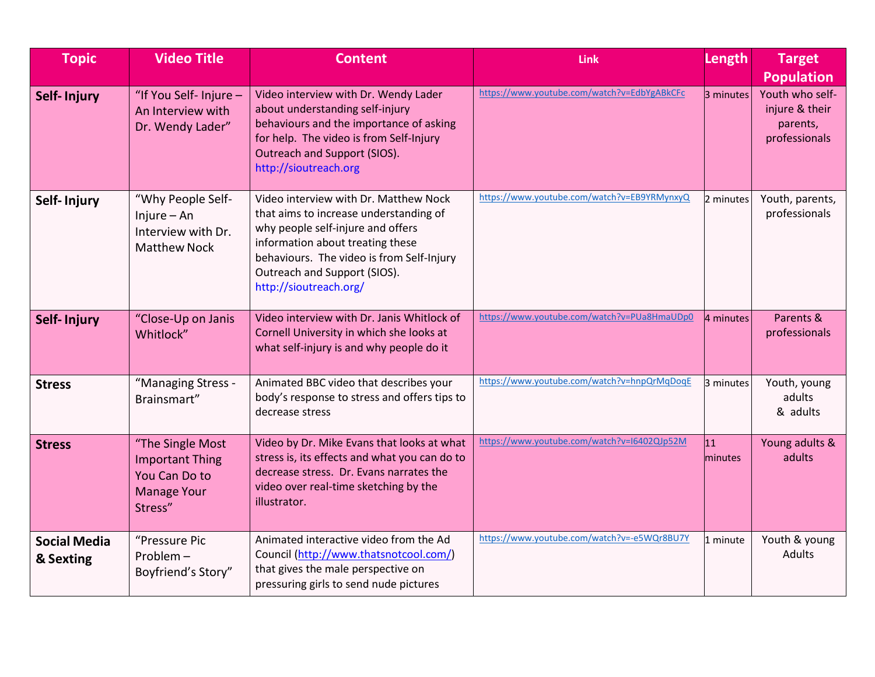| <b>Topic</b>                     | <b>Video Title</b>                                                                           | <b>Content</b>                                                                                                                                                                                                                                                  | <b>Link</b>                                 | Length         | <b>Target</b><br><b>Population</b>                             |
|----------------------------------|----------------------------------------------------------------------------------------------|-----------------------------------------------------------------------------------------------------------------------------------------------------------------------------------------------------------------------------------------------------------------|---------------------------------------------|----------------|----------------------------------------------------------------|
| <b>Self-Injury</b>               | "If You Self- Injure -<br>An Interview with<br>Dr. Wendy Lader"                              | Video interview with Dr. Wendy Lader<br>about understanding self-injury<br>behaviours and the importance of asking<br>for help. The video is from Self-Injury<br>Outreach and Support (SIOS).<br>http://sioutreach.org                                          | https://www.youtube.com/watch?v=EdbYgABkCFc | 3 minutes      | Youth who self-<br>injure & their<br>parents,<br>professionals |
| Self-Injury                      | "Why People Self-<br>$Injure - An$<br>Interview with Dr.<br><b>Matthew Nock</b>              | Video interview with Dr. Matthew Nock<br>that aims to increase understanding of<br>why people self-injure and offers<br>information about treating these<br>behaviours. The video is from Self-Injury<br>Outreach and Support (SIOS).<br>http://sioutreach.org/ | https://www.youtube.com/watch?v=EB9YRMynxyQ | 2 minutes      | Youth, parents,<br>professionals                               |
| Self-Injury                      | "Close-Up on Janis<br>Whitlock"                                                              | Video interview with Dr. Janis Whitlock of<br>Cornell University in which she looks at<br>what self-injury is and why people do it                                                                                                                              | https://www.youtube.com/watch?v=PUa8HmaUDp0 | 4 minutes      | Parents &<br>professionals                                     |
| <b>Stress</b>                    | "Managing Stress -<br>Brainsmart"                                                            | Animated BBC video that describes your<br>body's response to stress and offers tips to<br>decrease stress                                                                                                                                                       | https://www.youtube.com/watch?v=hnpQrMqDoqE | 3 minutes      | Youth, young<br>adults<br>& adults                             |
| <b>Stress</b>                    | "The Single Most<br><b>Important Thing</b><br>You Can Do to<br><b>Manage Your</b><br>Stress" | Video by Dr. Mike Evans that looks at what<br>stress is, its effects and what you can do to<br>decrease stress. Dr. Evans narrates the<br>video over real-time sketching by the<br>illustrator.                                                                 | https://www.youtube.com/watch?v=I6402QJp52M | 11 <br>minutes | Young adults &<br>adults                                       |
| <b>Social Media</b><br>& Sexting | "Pressure Pic<br>Problem-<br>Boyfriend's Story"                                              | Animated interactive video from the Ad<br>Council (http://www.thatsnotcool.com/)<br>that gives the male perspective on<br>pressuring girls to send nude pictures                                                                                                | https://www.youtube.com/watch?v=-e5WQr8BU7Y | 1 minute       | Youth & young<br><b>Adults</b>                                 |